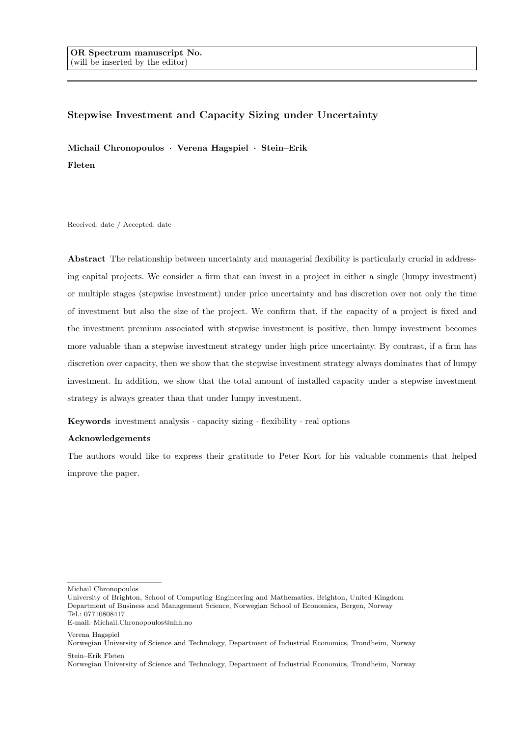# Stepwise Investment and Capacity Sizing under Uncertainty

Michail Chronopoulos · Verena Hagspiel · Stein–Erik Fleten

Received: date / Accepted: date

Abstract The relationship between uncertainty and managerial flexibility is particularly crucial in addressing capital projects. We consider a firm that can invest in a project in either a single (lumpy investment) or multiple stages (stepwise investment) under price uncertainty and has discretion over not only the time of investment but also the size of the project. We confirm that, if the capacity of a project is fixed and the investment premium associated with stepwise investment is positive, then lumpy investment becomes more valuable than a stepwise investment strategy under high price uncertainty. By contrast, if a firm has discretion over capacity, then we show that the stepwise investment strategy always dominates that of lumpy investment. In addition, we show that the total amount of installed capacity under a stepwise investment strategy is always greater than that under lumpy investment.

Keywords investment analysis  $\cdot$  capacity sizing  $\cdot$  flexibility  $\cdot$  real options

### Acknowledgements

The authors would like to express their gratitude to Peter Kort for his valuable comments that helped improve the paper.

Michail Chronopoulos

Verena Hagspiel

University of Brighton, School of Computing Engineering and Mathematics, Brighton, United Kingdom Department of Business and Management Science, Norwegian School of Economics, Bergen, Norway Tel.: 07710808417 E-mail: Michail.Chronopoulos@nhh.no

Norwegian University of Science and Technology, Department of Industrial Economics, Trondheim, Norway Stein–Erik Fleten

Norwegian University of Science and Technology, Department of Industrial Economics, Trondheim, Norway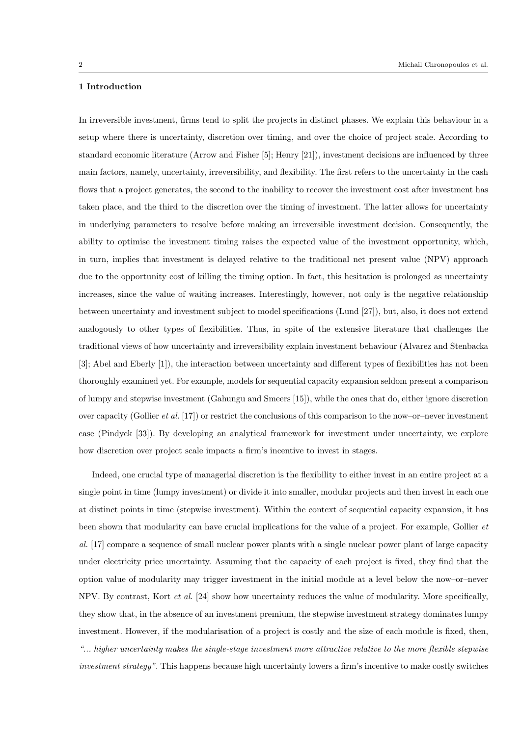# 1 Introduction

In irreversible investment, firms tend to split the projects in distinct phases. We explain this behaviour in a setup where there is uncertainty, discretion over timing, and over the choice of project scale. According to standard economic literature (Arrow and Fisher [5]; Henry [21]), investment decisions are influenced by three main factors, namely, uncertainty, irreversibility, and flexibility. The first refers to the uncertainty in the cash flows that a project generates, the second to the inability to recover the investment cost after investment has taken place, and the third to the discretion over the timing of investment. The latter allows for uncertainty in underlying parameters to resolve before making an irreversible investment decision. Consequently, the ability to optimise the investment timing raises the expected value of the investment opportunity, which, in turn, implies that investment is delayed relative to the traditional net present value (NPV) approach due to the opportunity cost of killing the timing option. In fact, this hesitation is prolonged as uncertainty increases, since the value of waiting increases. Interestingly, however, not only is the negative relationship between uncertainty and investment subject to model specifications (Lund [27]), but, also, it does not extend analogously to other types of flexibilities. Thus, in spite of the extensive literature that challenges the traditional views of how uncertainty and irreversibility explain investment behaviour (Alvarez and Stenbacka [3]; Abel and Eberly [1]), the interaction between uncertainty and different types of flexibilities has not been thoroughly examined yet. For example, models for sequential capacity expansion seldom present a comparison of lumpy and stepwise investment (Gahungu and Smeers [15]), while the ones that do, either ignore discretion over capacity (Gollier *et al.* [17]) or restrict the conclusions of this comparison to the now–or–never investment case (Pindyck [33]). By developing an analytical framework for investment under uncertainty, we explore how discretion over project scale impacts a firm's incentive to invest in stages.

Indeed, one crucial type of managerial discretion is the flexibility to either invest in an entire project at a single point in time (lumpy investment) or divide it into smaller, modular projects and then invest in each one at distinct points in time (stepwise investment). Within the context of sequential capacity expansion, it has been shown that modularity can have crucial implications for the value of a project. For example, Gollier et al. [17] compare a sequence of small nuclear power plants with a single nuclear power plant of large capacity under electricity price uncertainty. Assuming that the capacity of each project is fixed, they find that the option value of modularity may trigger investment in the initial module at a level below the now–or–never NPV. By contrast, Kort et al. [24] show how uncertainty reduces the value of modularity. More specifically, they show that, in the absence of an investment premium, the stepwise investment strategy dominates lumpy investment. However, if the modularisation of a project is costly and the size of each module is fixed, then, "... higher uncertainty makes the single-stage investment more attractive relative to the more flexible stepwise investment strategy". This happens because high uncertainty lowers a firm's incentive to make costly switches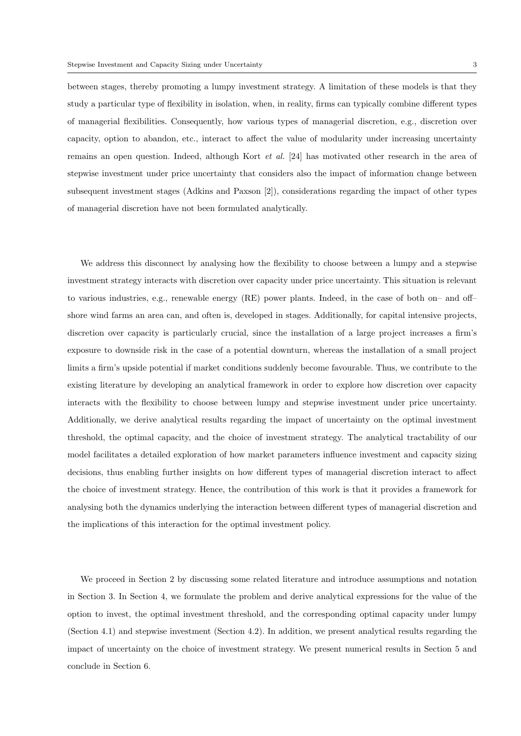between stages, thereby promoting a lumpy investment strategy. A limitation of these models is that they study a particular type of flexibility in isolation, when, in reality, firms can typically combine different types of managerial flexibilities. Consequently, how various types of managerial discretion, e.g., discretion over capacity, option to abandon, etc., interact to affect the value of modularity under increasing uncertainty remains an open question. Indeed, although Kort et al. [24] has motivated other research in the area of stepwise investment under price uncertainty that considers also the impact of information change between subsequent investment stages (Adkins and Paxson [2]), considerations regarding the impact of other types of managerial discretion have not been formulated analytically.

We address this disconnect by analysing how the flexibility to choose between a lumpy and a stepwise investment strategy interacts with discretion over capacity under price uncertainty. This situation is relevant to various industries, e.g., renewable energy (RE) power plants. Indeed, in the case of both on– and off– shore wind farms an area can, and often is, developed in stages. Additionally, for capital intensive projects, discretion over capacity is particularly crucial, since the installation of a large project increases a firm's exposure to downside risk in the case of a potential downturn, whereas the installation of a small project limits a firm's upside potential if market conditions suddenly become favourable. Thus, we contribute to the existing literature by developing an analytical framework in order to explore how discretion over capacity interacts with the flexibility to choose between lumpy and stepwise investment under price uncertainty. Additionally, we derive analytical results regarding the impact of uncertainty on the optimal investment threshold, the optimal capacity, and the choice of investment strategy. The analytical tractability of our model facilitates a detailed exploration of how market parameters influence investment and capacity sizing decisions, thus enabling further insights on how different types of managerial discretion interact to affect the choice of investment strategy. Hence, the contribution of this work is that it provides a framework for analysing both the dynamics underlying the interaction between different types of managerial discretion and the implications of this interaction for the optimal investment policy.

We proceed in Section 2 by discussing some related literature and introduce assumptions and notation in Section 3. In Section 4, we formulate the problem and derive analytical expressions for the value of the option to invest, the optimal investment threshold, and the corresponding optimal capacity under lumpy (Section 4.1) and stepwise investment (Section 4.2). In addition, we present analytical results regarding the impact of uncertainty on the choice of investment strategy. We present numerical results in Section 5 and conclude in Section 6.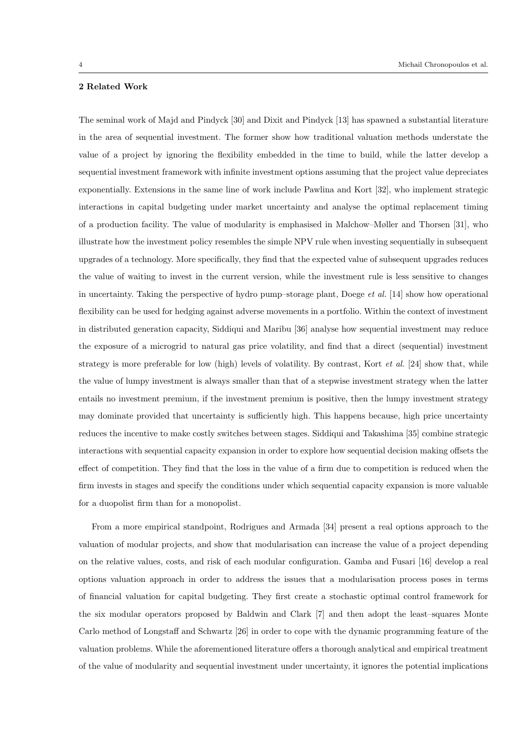# 2 Related Work

The seminal work of Majd and Pindyck [30] and Dixit and Pindyck [13] has spawned a substantial literature in the area of sequential investment. The former show how traditional valuation methods understate the value of a project by ignoring the flexibility embedded in the time to build, while the latter develop a sequential investment framework with infinite investment options assuming that the project value depreciates exponentially. Extensions in the same line of work include Pawlina and Kort [32], who implement strategic interactions in capital budgeting under market uncertainty and analyse the optimal replacement timing of a production facility. The value of modularity is emphasised in Malchow–Møller and Thorsen [31], who illustrate how the investment policy resembles the simple NPV rule when investing sequentially in subsequent upgrades of a technology. More specifically, they find that the expected value of subsequent upgrades reduces the value of waiting to invest in the current version, while the investment rule is less sensitive to changes in uncertainty. Taking the perspective of hydro pump–storage plant, Doege et al. [14] show how operational flexibility can be used for hedging against adverse movements in a portfolio. Within the context of investment in distributed generation capacity, Siddiqui and Maribu [36] analyse how sequential investment may reduce the exposure of a microgrid to natural gas price volatility, and find that a direct (sequential) investment strategy is more preferable for low (high) levels of volatility. By contrast, Kort *et al.* [24] show that, while the value of lumpy investment is always smaller than that of a stepwise investment strategy when the latter entails no investment premium, if the investment premium is positive, then the lumpy investment strategy may dominate provided that uncertainty is sufficiently high. This happens because, high price uncertainty reduces the incentive to make costly switches between stages. Siddiqui and Takashima [35] combine strategic interactions with sequential capacity expansion in order to explore how sequential decision making offsets the effect of competition. They find that the loss in the value of a firm due to competition is reduced when the firm invests in stages and specify the conditions under which sequential capacity expansion is more valuable for a duopolist firm than for a monopolist.

From a more empirical standpoint, Rodrigues and Armada [34] present a real options approach to the valuation of modular projects, and show that modularisation can increase the value of a project depending on the relative values, costs, and risk of each modular configuration. Gamba and Fusari [16] develop a real options valuation approach in order to address the issues that a modularisation process poses in terms of financial valuation for capital budgeting. They first create a stochastic optimal control framework for the six modular operators proposed by Baldwin and Clark [7] and then adopt the least–squares Monte Carlo method of Longstaff and Schwartz [26] in order to cope with the dynamic programming feature of the valuation problems. While the aforementioned literature offers a thorough analytical and empirical treatment of the value of modularity and sequential investment under uncertainty, it ignores the potential implications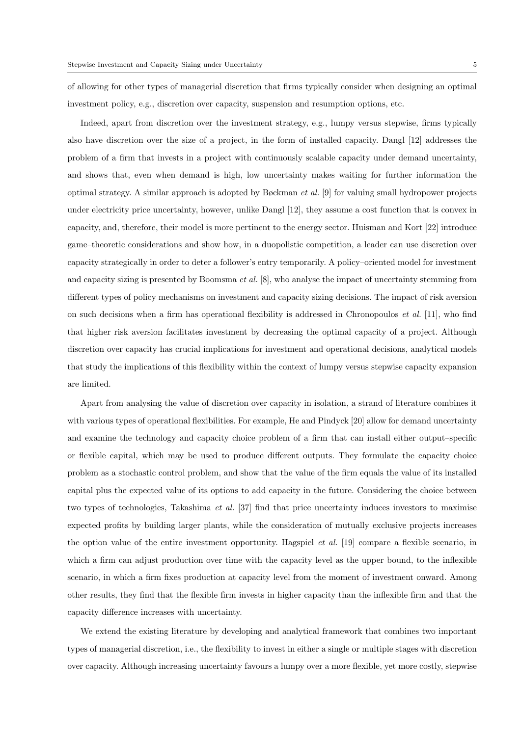of allowing for other types of managerial discretion that firms typically consider when designing an optimal investment policy, e.g., discretion over capacity, suspension and resumption options, etc.

Indeed, apart from discretion over the investment strategy, e.g., lumpy versus stepwise, firms typically also have discretion over the size of a project, in the form of installed capacity. Dangl [12] addresses the problem of a firm that invests in a project with continuously scalable capacity under demand uncertainty, and shows that, even when demand is high, low uncertainty makes waiting for further information the optimal strategy. A similar approach is adopted by Bøckman et al. [9] for valuing small hydropower projects under electricity price uncertainty, however, unlike Dangl [12], they assume a cost function that is convex in capacity, and, therefore, their model is more pertinent to the energy sector. Huisman and Kort [22] introduce game–theoretic considerations and show how, in a duopolistic competition, a leader can use discretion over capacity strategically in order to deter a follower's entry temporarily. A policy–oriented model for investment and capacity sizing is presented by Boomsma et al. [8], who analyse the impact of uncertainty stemming from different types of policy mechanisms on investment and capacity sizing decisions. The impact of risk aversion on such decisions when a firm has operational flexibility is addressed in Chronopoulos et al. [11], who find that higher risk aversion facilitates investment by decreasing the optimal capacity of a project. Although discretion over capacity has crucial implications for investment and operational decisions, analytical models that study the implications of this flexibility within the context of lumpy versus stepwise capacity expansion are limited.

Apart from analysing the value of discretion over capacity in isolation, a strand of literature combines it with various types of operational flexibilities. For example, He and Pindyck [20] allow for demand uncertainty and examine the technology and capacity choice problem of a firm that can install either output–specific or flexible capital, which may be used to produce different outputs. They formulate the capacity choice problem as a stochastic control problem, and show that the value of the firm equals the value of its installed capital plus the expected value of its options to add capacity in the future. Considering the choice between two types of technologies, Takashima *et al.* [37] find that price uncertainty induces investors to maximise expected profits by building larger plants, while the consideration of mutually exclusive projects increases the option value of the entire investment opportunity. Hagspiel *et al.* [19] compare a flexible scenario, in which a firm can adjust production over time with the capacity level as the upper bound, to the inflexible scenario, in which a firm fixes production at capacity level from the moment of investment onward. Among other results, they find that the flexible firm invests in higher capacity than the inflexible firm and that the capacity difference increases with uncertainty.

We extend the existing literature by developing and analytical framework that combines two important types of managerial discretion, i.e., the flexibility to invest in either a single or multiple stages with discretion over capacity. Although increasing uncertainty favours a lumpy over a more flexible, yet more costly, stepwise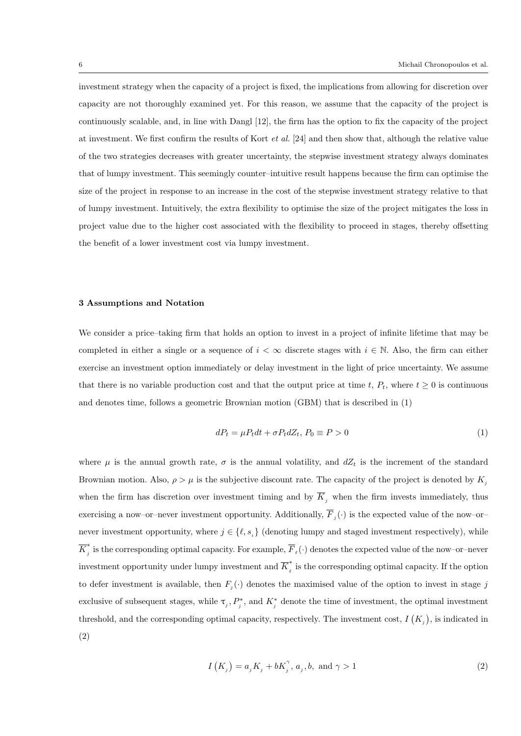investment strategy when the capacity of a project is fixed, the implications from allowing for discretion over capacity are not thoroughly examined yet. For this reason, we assume that the capacity of the project is continuously scalable, and, in line with Dangl [12], the firm has the option to fix the capacity of the project at investment. We first confirm the results of Kort et al. [24] and then show that, although the relative value of the two strategies decreases with greater uncertainty, the stepwise investment strategy always dominates that of lumpy investment. This seemingly counter–intuitive result happens because the firm can optimise the size of the project in response to an increase in the cost of the stepwise investment strategy relative to that of lumpy investment. Intuitively, the extra flexibility to optimise the size of the project mitigates the loss in project value due to the higher cost associated with the flexibility to proceed in stages, thereby offsetting the benefit of a lower investment cost via lumpy investment.

#### 3 Assumptions and Notation

We consider a price–taking firm that holds an option to invest in a project of infinite lifetime that may be completed in either a single or a sequence of  $i < \infty$  discrete stages with  $i \in \mathbb{N}$ . Also, the firm can either exercise an investment option immediately or delay investment in the light of price uncertainty. We assume that there is no variable production cost and that the output price at time t,  $P_t$ , where  $t \geq 0$  is continuous and denotes time, follows a geometric Brownian motion (GBM) that is described in (1)

$$
dP_t = \mu P_t dt + \sigma P_t dZ_t, P_0 \equiv P > 0
$$
\n<sup>(1)</sup>

where  $\mu$  is the annual growth rate,  $\sigma$  is the annual volatility, and  $dZ_t$  is the increment of the standard Brownian motion. Also,  $\rho > \mu$  is the subjective discount rate. The capacity of the project is denoted by  $K_i$ when the firm has discretion over investment timing and by  $\overline{K}_j$  when the firm invests immediately, thus exercising a now-or-never investment opportunity. Additionally,  $\overline{F}_j(\cdot)$  is the expected value of the now-ornever investment opportunity, where  $j \in \{l, s_i\}$  (denoting lumpy and staged investment respectively), while  $\overline{K}^*_i$ f is the corresponding optimal capacity. For example,  $\overline{F}_\ell(\cdot)$  denotes the expected value of the now-or-never investment opportunity under lumpy investment and  $\overline{K}_{\ell}^*$  $\int_{\ell}^{\infty}$  is the corresponding optimal capacity. If the option to defer investment is available, then  $F_j(\cdot)$  denotes the maximised value of the option to invest in stage j exclusive of subsequent stages, while  $\tau_j, P_j^*$ , and  $K_j^*$  denote the time of investment, the optimal investment threshold, and the corresponding optimal capacity, respectively. The investment cost,  $I(K_j)$ , is indicated in (2)

$$
I(K_j) = a_j K_j + bK_j^{\gamma}, a_j, b, \text{ and } \gamma > 1
$$
 (2)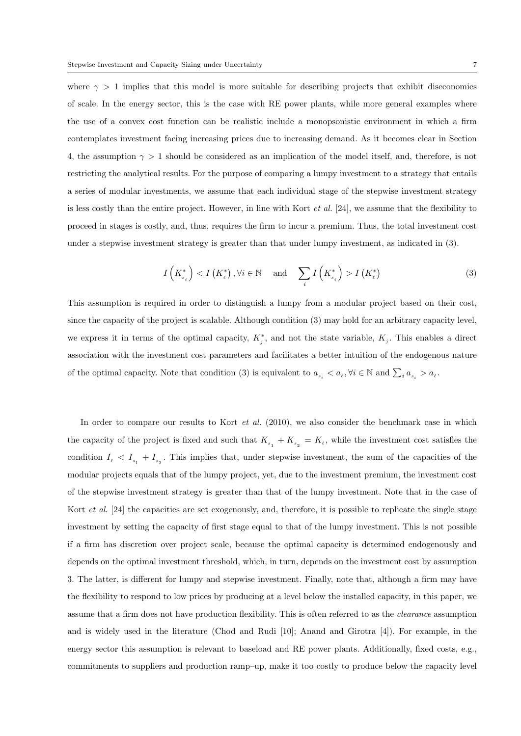where  $\gamma > 1$  implies that this model is more suitable for describing projects that exhibit diseconomies of scale. In the energy sector, this is the case with RE power plants, while more general examples where the use of a convex cost function can be realistic include a monopsonistic environment in which a firm contemplates investment facing increasing prices due to increasing demand. As it becomes clear in Section 4, the assumption  $\gamma > 1$  should be considered as an implication of the model itself, and, therefore, is not restricting the analytical results. For the purpose of comparing a lumpy investment to a strategy that entails a series of modular investments, we assume that each individual stage of the stepwise investment strategy is less costly than the entire project. However, in line with Kort *et al.* [24], we assume that the flexibility to proceed in stages is costly, and, thus, requires the firm to incur a premium. Thus, the total investment cost under a stepwise investment strategy is greater than that under lumpy investment, as indicated in (3).

$$
I\left(K_{s_i}^*\right) < I\left(K_{\ell}^*\right), \forall i \in \mathbb{N} \quad \text{and} \quad \sum_i I\left(K_{s_i}^*\right) > I\left(K_{\ell}^*\right) \tag{3}
$$

This assumption is required in order to distinguish a lumpy from a modular project based on their cost, since the capacity of the project is scalable. Although condition (3) may hold for an arbitrary capacity level, we express it in terms of the optimal capacity,  $K_j^*$ , and not the state variable,  $K_j$ . This enables a direct association with the investment cost parameters and facilitates a better intuition of the endogenous nature of the optimal capacity. Note that condition (3) is equivalent to  $a_{s_i} < a_{\ell}, \forall i \in \mathbb{N}$  and  $\sum_i a_{s_i} > a_{\ell}$ .

In order to compare our results to Kort et al. (2010), we also consider the benchmark case in which the capacity of the project is fixed and such that  $K_{s_1} + K_{s_2} = K_{\ell}$ , while the investment cost satisfies the condition  $I_{\ell} < I_{s_1} + I_{s_2}$ . This implies that, under stepwise investment, the sum of the capacities of the modular projects equals that of the lumpy project, yet, due to the investment premium, the investment cost of the stepwise investment strategy is greater than that of the lumpy investment. Note that in the case of Kort *et al.* [24] the capacities are set exogenously, and, therefore, it is possible to replicate the single stage investment by setting the capacity of first stage equal to that of the lumpy investment. This is not possible if a firm has discretion over project scale, because the optimal capacity is determined endogenously and depends on the optimal investment threshold, which, in turn, depends on the investment cost by assumption 3. The latter, is different for lumpy and stepwise investment. Finally, note that, although a firm may have the flexibility to respond to low prices by producing at a level below the installed capacity, in this paper, we assume that a firm does not have production flexibility. This is often referred to as the clearance assumption and is widely used in the literature (Chod and Rudi [10]; Anand and Girotra [4]). For example, in the energy sector this assumption is relevant to baseload and RE power plants. Additionally, fixed costs, e.g., commitments to suppliers and production ramp–up, make it too costly to produce below the capacity level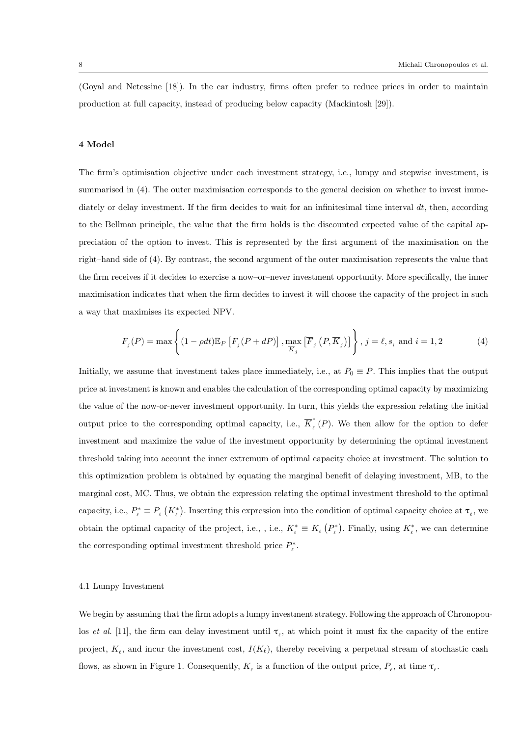(Goyal and Netessine [18]). In the car industry, firms often prefer to reduce prices in order to maintain production at full capacity, instead of producing below capacity (Mackintosh [29]).

#### 4 Model

The firm's optimisation objective under each investment strategy, i.e., lumpy and stepwise investment, is summarised in (4). The outer maximisation corresponds to the general decision on whether to invest immediately or delay investment. If the firm decides to wait for an infinitesimal time interval  $dt$ , then, according to the Bellman principle, the value that the firm holds is the discounted expected value of the capital appreciation of the option to invest. This is represented by the first argument of the maximisation on the right–hand side of (4). By contrast, the second argument of the outer maximisation represents the value that the firm receives if it decides to exercise a now–or–never investment opportunity. More specifically, the inner maximisation indicates that when the firm decides to invest it will choose the capacity of the project in such a way that maximises its expected NPV.

$$
F_j(P) = \max\left\{ (1 - \rho dt) \mathbb{E}_P \left[ F_j(P + dP) \right], \max_{\overline{K}_j} \left[ \overline{F}_j\left(P, \overline{K}_j\right) \right] \right\}, j = \ell, s_i \text{ and } i = 1, 2 \tag{4}
$$

Initially, we assume that investment takes place immediately, i.e., at  $P_0 \equiv P$ . This implies that the output price at investment is known and enables the calculation of the corresponding optimal capacity by maximizing the value of the now-or-never investment opportunity. In turn, this yields the expression relating the initial output price to the corresponding optimal capacity, i.e.,  $\overline{K}_{\ell}^{*}$  $\int_{\ell}^{\infty} (P)$ . We then allow for the option to defer investment and maximize the value of the investment opportunity by determining the optimal investment threshold taking into account the inner extremum of optimal capacity choice at investment. The solution to this optimization problem is obtained by equating the marginal benefit of delaying investment, MB, to the marginal cost, MC. Thus, we obtain the expression relating the optimal investment threshold to the optimal capacity, i.e.,  $P_{\ell}^* \equiv P_{\ell} (K_{\ell}^*)$ . Inserting this expression into the condition of optimal capacity choice at  $\tau_{\ell}$ , we obtain the optimal capacity of the project, i.e., , i.e.,  $K_{\ell}^* \equiv K_{\ell} (P_{\ell}^*)$ . Finally, using  $K_{\ell}^*$ , we can determine the corresponding optimal investment threshold price  $P_{\ell}^*$ .

#### 4.1 Lumpy Investment

We begin by assuming that the firm adopts a lumpy investment strategy. Following the approach of Chronopoulos et al. [11], the firm can delay investment until  $\tau_{\ell}$ , at which point it must fix the capacity of the entire project,  $K_{\ell}$ , and incur the investment cost,  $I(K_{\ell})$ , thereby receiving a perpetual stream of stochastic cash flows, as shown in Figure 1. Consequently,  $K_{\ell}$  is a function of the output price,  $P_{\ell}$ , at time  $\tau_{\ell}$ .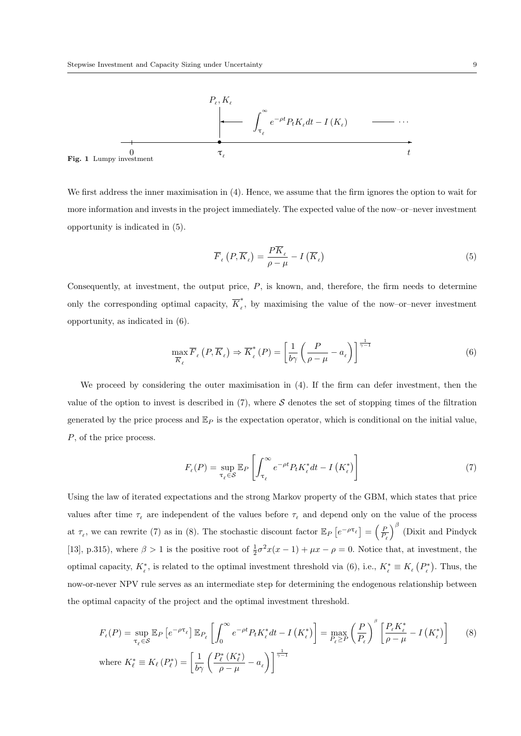

We first address the inner maximisation in (4). Hence, we assume that the firm ignores the option to wait for more information and invests in the project immediately. The expected value of the now–or–never investment opportunity is indicated in (5).

$$
\overline{F}_{\ell}\left(P,\overline{K}_{\ell}\right) = \frac{P\overline{K}_{\ell}}{\rho-\mu} - I\left(\overline{K}_{\ell}\right)
$$
\n<sup>(5)</sup>

Consequently, at investment, the output price, P, is known, and, therefore, the firm needs to determine only the corresponding optimal capacity,  $\overline{K}_{\ell}^*$  $\int_{\ell}^{\infty}$ , by maximising the value of the now-or-never investment opportunity, as indicated in (6).

$$
\max_{\overline{K}_{\ell}} \overline{F}_{\ell} \left( P, \overline{K}_{\ell} \right) \Rightarrow \overline{K}_{\ell}^{*} \left( P \right) = \left[ \frac{1}{b\gamma} \left( \frac{P}{\rho - \mu} - a_{\ell} \right) \right]^{\frac{1}{\gamma - 1}} \tag{6}
$$

We proceed by considering the outer maximisation in  $(4)$ . If the firm can defer investment, then the value of the option to invest is described in  $(7)$ , where S denotes the set of stopping times of the filtration generated by the price process and  $\mathbb{E}_P$  is the expectation operator, which is conditional on the initial value, P, of the price process.

$$
F_{\ell}(P) = \sup_{\tau_{\ell} \in S} \mathbb{E}_P \left[ \int_{\tau_{\ell}}^{\infty} e^{-\rho t} P_t K_{\ell}^* dt - I \left( K_{\ell}^* \right) \right]
$$
(7)

Using the law of iterated expectations and the strong Markov property of the GBM, which states that price values after time  $\tau_{\ell}$  are independent of the values before  $\tau_{\ell}$  and depend only on the value of the process at  $\tau_{\ell}$ , we can rewrite (7) as in (8). The stochastic discount factor  $\mathbb{E}_P\left[e^{-\rho\tau_{\ell}}\right] = \left(\frac{P}{P_{\ell}}\right)$  $\int^{\beta}$  (Dixit and Pindyck [13], p.315), where  $\beta > 1$  is the positive root of  $\frac{1}{2}\sigma^2 x(x-1) + \mu x - \rho = 0$ . Notice that, at investment, the optimal capacity,  $K_{\ell}^*$ , is related to the optimal investment threshold via (6), i.e.,  $K_{\ell}^* \equiv K_{\ell} (P_{\ell}^*)$ . Thus, the now-or-never NPV rule serves as an intermediate step for determining the endogenous relationship between the optimal capacity of the project and the optimal investment threshold.

$$
F_{\ell}(P) = \sup_{\tau_{\ell} \in S} \mathbb{E}_{P} \left[ e^{-\rho \tau_{\ell}} \right] \mathbb{E}_{P_{\ell}} \left[ \int_{0}^{\infty} e^{-\rho t} P_{t} K_{\ell}^{*} dt - I \left( K_{\ell}^{*} \right) \right] = \max_{P_{\ell} \ge P} \left( \frac{P}{P_{\ell}} \right)^{\beta} \left[ \frac{P_{\ell} K_{\ell}^{*}}{\rho - \mu} - I \left( K_{\ell}^{*} \right) \right] \tag{8}
$$
  
where  $K_{\ell}^{*} \equiv K_{\ell} (P_{\ell}^{*}) = \left[ \frac{1}{b\gamma} \left( \frac{P_{\ell}^{*} \left( K_{\ell}^{*} \right)}{\rho - \mu} - a_{\ell} \right) \right]^{\frac{1}{\gamma - 1}}$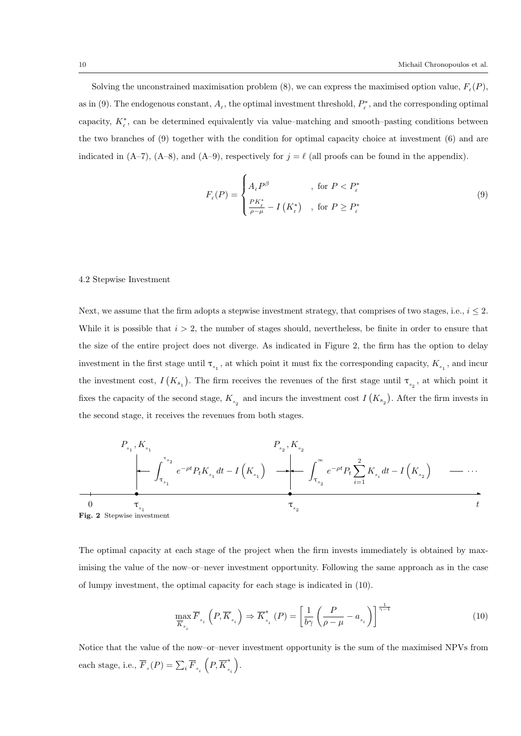Solving the unconstrained maximisation problem (8), we can express the maximised option value,  $F_{\ell}(P)$ , as in (9). The endogenous constant,  $A_\ell$ , the optimal investment threshold,  $P_\ell^*$ , and the corresponding optimal capacity,  $K_{\ell}^{*}$ , can be determined equivalently via value–matching and smooth–pasting conditions between the two branches of (9) together with the condition for optimal capacity choice at investment (6) and are indicated in (A–7), (A–8), and (A–9), respectively for  $j = \ell$  (all proofs can be found in the appendix).

$$
F_{\ell}(P) = \begin{cases} A_{\ell}P^{\beta} & , \text{ for } P < P_{\ell}^{*} \\ \frac{PK_{\ell}^{*}}{\rho - \mu} - I\left(K_{\ell}^{*}\right) & , \text{ for } P \ge P_{\ell}^{*} \end{cases}
$$
 (9)

## 4.2 Stepwise Investment

Next, we assume that the firm adopts a stepwise investment strategy, that comprises of two stages, i.e.,  $i \leq 2$ . While it is possible that  $i > 2$ , the number of stages should, nevertheless, be finite in order to ensure that the size of the entire project does not diverge. As indicated in Figure 2, the firm has the option to delay investment in the first stage until  $\tau_{s_1}$ , at which point it must fix the corresponding capacity,  $K_{s_1}$ , and incur the investment cost,  $I(K_{s_1})$ . The firm receives the revenues of the first stage until  $\tau_{s_2}$ , at which point it fixes the capacity of the second stage,  $K_{s_2}$  and incurs the investment cost  $I(K_{s_2})$ . After the firm invests in the second stage, it receives the revenues from both stages.



The optimal capacity at each stage of the project when the firm invests immediately is obtained by maximising the value of the now–or–never investment opportunity. Following the same approach as in the case of lumpy investment, the optimal capacity for each stage is indicated in (10).

$$
\max_{\overline{K}_{s_i}} \overline{F}_{s_i} \left( P, \overline{K}_{s_i} \right) \Rightarrow \overline{K}_{s_i}^* \left( P \right) = \left[ \frac{1}{b\gamma} \left( \frac{P}{\rho - \mu} - a_{s_i} \right) \right]^{\frac{1}{\gamma - 1}} \tag{10}
$$

Notice that the value of the now–or–never investment opportunity is the sum of the maximised NPVs from each stage, i.e.,  $\overline{F}_s(P) = \sum_i \overline{F}_{s_i} (P, \overline{K}_s^*)$  $s$ <sub> $i$ </sub> .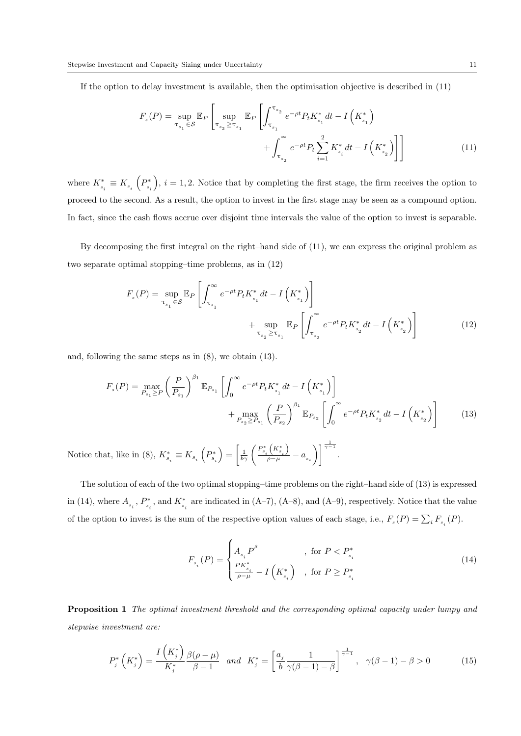If the option to delay investment is available, then the optimisation objective is described in (11)

$$
F_s(P) = \sup_{\tau_{s_1} \in \mathcal{S}} \mathbb{E}_P \left[ \sup_{\tau_{s_2} \ge \tau_{s_1}} \mathbb{E}_P \left[ \int_{\tau_{s_1}}^{\tau_{s_2}} e^{-\rho t} P_t K_{s_1}^* dt - I \left( K_{s_1}^* \right) + \int_{\tau_{s_2}}^{\infty} e^{-\rho t} P_t \sum_{i=1}^2 K_{s_i}^* dt - I \left( K_{s_2}^* \right) \right] \right]
$$
(11)

where  $K_{\scriptscriptstyle s_i}^{*}\equiv K_{\scriptscriptstyle s_i}$   $\left(P_{\scriptscriptstyle s_i}^{*}\right.$  $, i = 1, 2$ . Notice that by completing the first stage, the firm receives the option to proceed to the second. As a result, the option to invest in the first stage may be seen as a compound option. In fact, since the cash flows accrue over disjoint time intervals the value of the option to invest is separable.

By decomposing the first integral on the right–hand side of (11), we can express the original problem as two separate optimal stopping–time problems, as in (12)

$$
F_s(P) = \sup_{\tau_{s_1} \in S} \mathbb{E}_P \left[ \int_{\tau_{s_1}}^{\infty} e^{-\rho t} P_t K_{s_1}^* dt - I \left( K_{s_1}^* \right) \right]
$$
  
+ 
$$
\sup_{\tau_{s_2} \ge \tau_{s_1}} \mathbb{E}_P \left[ \int_{\tau_{s_2}}^{\infty} e^{-\rho t} P_t K_{s_2}^* dt - I \left( K_{s_2}^* \right) \right]
$$
(12)

and, following the same steps as in (8), we obtain (13).

$$
F_s(P) = \max_{P_{s_1} \ge P} \left(\frac{P}{P_{s_1}}\right)^{\beta_1} \mathbb{E}_{P_{s_1}} \left[\int_0^\infty e^{-\rho t} P_t K_{s_1}^* dt - I\left(K_{s_1}^*\right)\right] + \max_{P_{s_2} \ge P_{s_1}} \left(\frac{P}{P_{s_2}}\right)^{\beta_1} \mathbb{E}_{P_{s_2}} \left[\int_0^\infty e^{-\rho t} P_t K_{s_2}^* dt - I\left(K_{s_2}^*\right)\right] \tag{13}
$$

Notice that, like in (8),  $K_{s_i}^* \equiv K_{s_i} \left( P_{s_i}^* \right) = \left[ \frac{1}{b\gamma} \left( \frac{P_{s_i}^* \left( K_{s_i}^* \right)}{\rho - \mu} - a_{s_i} \right) \right]$  $\bigg\{\bigg\}^{\frac{1}{\gamma-1}}$ .

The solution of each of the two optimal stopping–time problems on the right–hand side of (13) is expressed in (14), where  $A_{s_i}$ ,  $P_{s_i}^*$ , and  $K_{s_i}^*$  are indicated in (A–7), (A–8), and (A–9), respectively. Notice that the value of the option to invest is the sum of the respective option values of each stage, i.e.,  $F_s(P) = \sum_i F_{s_i}(P)$ .

$$
F_{s_i}(P) = \begin{cases} A_{s_i} P^{\beta} & , \text{ for } P < P_{s_i}^* \\ \frac{PK_{s_i}^*}{\rho - \mu} - I\left(K_{s_i}^*\right) & , \text{ for } P \ge P_{s_i}^* \end{cases}
$$
 (14)

Proposition 1 The optimal investment threshold and the corresponding optimal capacity under lumpy and stepwise investment are:

$$
P_j^*\left(K_j^*\right) = \frac{I\left(K_j^*\right)}{K_j^*} \frac{\beta(\rho - \mu)}{\beta - 1} \quad \text{and} \quad K_j^* = \left[\frac{a_j}{b} \frac{1}{\gamma(\beta - 1) - \beta}\right]^{\frac{1}{\gamma - 1}}, \quad \gamma(\beta - 1) - \beta > 0 \tag{15}
$$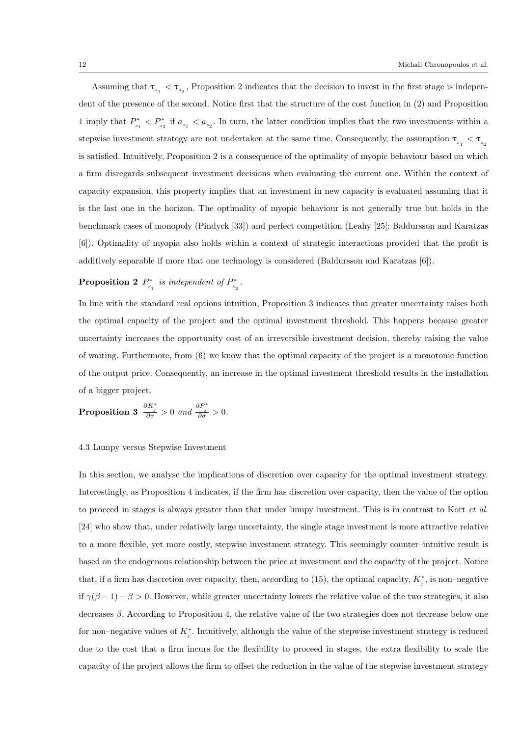Assuming that  $\tau_{s_1} < \tau_{s_2}$ , Proposition 2 indicates that the decision to invest in the first stage is independent of the presence of the second. Notice first that the structure of the cost function in (2) and Proposition 1 imply that  $P^*$  $S_{s_1}^* < P_{s_2}^*$  if  $a_{s_1} < a_{s_2}$ . In turn, the latter condition implies that the two investments within a stepwise investment strategy are not undertaken at the same time. Consequently, the assumption  $\tau_{s_1} < \tau_{s_2}$ is satisfied. Intuitively, Proposition 2 is a consequence of the optimality of myopic behaviour based on which a firm disregards subsequent investment decisions when evaluating the current one. Within the context of capacity expansion, this property implies that an investment in new capacity is evaluated assuming that it is the last one in the horizon. The optimality of myopic behaviour is not generally true but holds in the benchmark cases of monopoly (Pindyck [33]) and perfect competition (Leahy [25]; Baldursson and Karatzas [6]). Optimality of myopia also holds within a context of strategic interactions provided that the profit is additively separable if more that one technology is considered (Baldursson and Karatzas [6]).

#### Proposition 2  $P^*$  $S_{s_1}^*$  is independent of  $P_{s_2}^*$  $\frac{s_2}{s_2}$  .

In line with the standard real options intuition, Proposition 3 indicates that greater uncertainty raises both the optimal capacity of the project and the optimal investment threshold. This happens because greater uncertainty increases the opportunity cost of an irreversible investment decision, thereby raising the value of waiting. Furthermore, from (6) we know that the optimal capacity of the project is a monotonic function of the output price. Consequently, an increase in the optimal investment threshold results in the installation of a bigger project.

**Proposition 3** 
$$
\frac{\partial K_j^*}{\partial \sigma} > 0
$$
 and  $\frac{\partial P_j^*}{\partial \sigma} > 0$ .

# 4.3 Lumpy versus Stepwise Investment

In this section, we analyse the implications of discretion over capacity for the optimal investment strategy. Interestingly, as Proposition 4 indicates, if the firm has discretion over capacity, then the value of the option to proceed in stages is always greater than that under lumpy investment. This is in contrast to Kort *et al.* [24] who show that, under relatively large uncertainty, the single stage investment is more attractive relative to a more flexible, yet more costly, stepwise investment strategy. This seemingly counter–intuitive result is based on the endogenous relationship between the price at investment and the capacity of the project. Notice that, if a firm has discretion over capacity, then, according to (15), the optimal capacity,  $K_j^*$ , is non–negative if  $\gamma(\beta - 1) - \beta > 0$ . However, while greater uncertainty lowers the relative value of the two strategies, it also decreases  $\beta$ . According to Proposition 4, the relative value of the two strategies does not decrease below one for non–negative values of  $K_j^*$ . Intuitively, although the value of the stepwise investment strategy is reduced due to the cost that a firm incurs for the flexibility to proceed in stages, the extra flexibility to scale the capacity of the project allows the firm to offset the reduction in the value of the stepwise investment strategy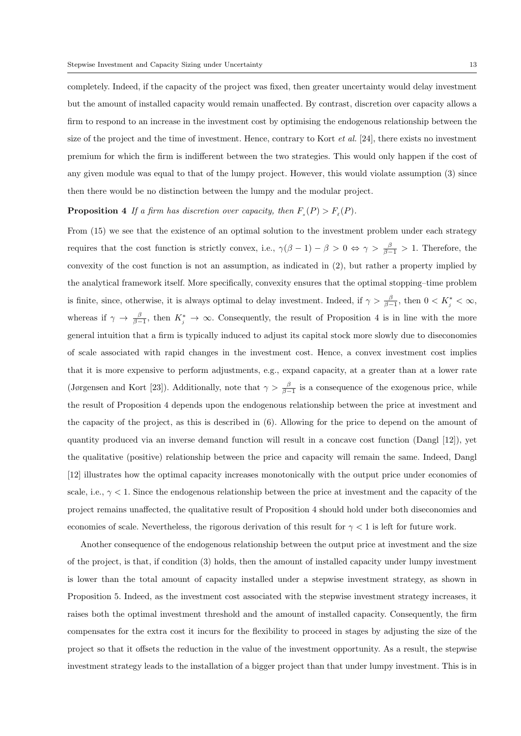completely. Indeed, if the capacity of the project was fixed, then greater uncertainty would delay investment but the amount of installed capacity would remain unaffected. By contrast, discretion over capacity allows a firm to respond to an increase in the investment cost by optimising the endogenous relationship between the size of the project and the time of investment. Hence, contrary to Kort *et al.* [24], there exists no investment premium for which the firm is indifferent between the two strategies. This would only happen if the cost of any given module was equal to that of the lumpy project. However, this would violate assumption (3) since then there would be no distinction between the lumpy and the modular project.

# **Proposition 4** If a firm has discretion over capacity, then  $F_s(P) > F_e(P)$ .

From (15) we see that the existence of an optimal solution to the investment problem under each strategy requires that the cost function is strictly convex, i.e.,  $\gamma(\beta-1)-\beta>0 \Leftrightarrow \gamma>\frac{\beta}{\beta-1}>1$ . Therefore, the convexity of the cost function is not an assumption, as indicated in (2), but rather a property implied by the analytical framework itself. More specifically, convexity ensures that the optimal stopping–time problem is finite, since, otherwise, it is always optimal to delay investment. Indeed, if  $\gamma > \frac{\beta}{\beta-1}$ , then  $0 < K_j^* < \infty$ , whereas if  $\gamma \to \frac{\beta}{\beta-1}$ , then  $K_j^* \to \infty$ . Consequently, the result of Proposition 4 is in line with the more general intuition that a firm is typically induced to adjust its capital stock more slowly due to diseconomies of scale associated with rapid changes in the investment cost. Hence, a convex investment cost implies that it is more expensive to perform adjustments, e.g., expand capacity, at a greater than at a lower rate (Jørgensen and Kort [23]). Additionally, note that  $\gamma > \frac{\beta}{\beta-1}$  is a consequence of the exogenous price, while the result of Proposition 4 depends upon the endogenous relationship between the price at investment and the capacity of the project, as this is described in (6). Allowing for the price to depend on the amount of quantity produced via an inverse demand function will result in a concave cost function (Dangl [12]), yet the qualitative (positive) relationship between the price and capacity will remain the same. Indeed, Dangl [12] illustrates how the optimal capacity increases monotonically with the output price under economies of scale, i.e.,  $\gamma < 1$ . Since the endogenous relationship between the price at investment and the capacity of the project remains unaffected, the qualitative result of Proposition 4 should hold under both diseconomies and economies of scale. Nevertheless, the rigorous derivation of this result for  $\gamma < 1$  is left for future work.

Another consequence of the endogenous relationship between the output price at investment and the size of the project, is that, if condition (3) holds, then the amount of installed capacity under lumpy investment is lower than the total amount of capacity installed under a stepwise investment strategy, as shown in Proposition 5. Indeed, as the investment cost associated with the stepwise investment strategy increases, it raises both the optimal investment threshold and the amount of installed capacity. Consequently, the firm compensates for the extra cost it incurs for the flexibility to proceed in stages by adjusting the size of the project so that it offsets the reduction in the value of the investment opportunity. As a result, the stepwise investment strategy leads to the installation of a bigger project than that under lumpy investment. This is in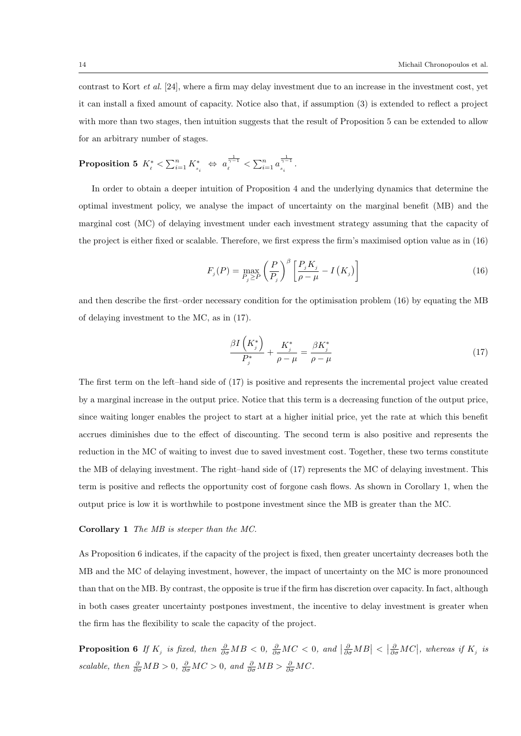contrast to Kort et al. [24], where a firm may delay investment due to an increase in the investment cost, yet it can install a fixed amount of capacity. Notice also that, if assumption (3) is extended to reflect a project with more than two stages, then intuition suggests that the result of Proposition 5 can be extended to allow for an arbitrary number of stages.

$$
\textbf{Proposition 5} \ \ K_{\ell}^* < \textstyle \sum_{i=1}^n K_{_{s_i}}^* \ \ \Leftrightarrow \ \ a_{\ell}^{\frac{1}{\gamma-1}} < \textstyle \sum_{i=1}^n a_{_{s_i}}^{\frac{1}{\gamma-1}}.
$$

In order to obtain a deeper intuition of Proposition 4 and the underlying dynamics that determine the optimal investment policy, we analyse the impact of uncertainty on the marginal benefit (MB) and the marginal cost (MC) of delaying investment under each investment strategy assuming that the capacity of the project is either fixed or scalable. Therefore, we first express the firm's maximised option value as in (16)

$$
F_j(P) = \max_{P_j \ge P} \left(\frac{P}{P_j}\right)^{\beta} \left[\frac{P_j K_j}{\rho - \mu} - I\left(K_j\right)\right]
$$
\n(16)

and then describe the first–order necessary condition for the optimisation problem (16) by equating the MB of delaying investment to the MC, as in (17).

$$
\frac{\beta I\left(K_j^*\right)}{P_j^*} + \frac{K_j^*}{\rho - \mu} = \frac{\beta K_j^*}{\rho - \mu} \tag{17}
$$

The first term on the left–hand side of (17) is positive and represents the incremental project value created by a marginal increase in the output price. Notice that this term is a decreasing function of the output price, since waiting longer enables the project to start at a higher initial price, yet the rate at which this benefit accrues diminishes due to the effect of discounting. The second term is also positive and represents the reduction in the MC of waiting to invest due to saved investment cost. Together, these two terms constitute the MB of delaying investment. The right–hand side of (17) represents the MC of delaying investment. This term is positive and reflects the opportunity cost of forgone cash flows. As shown in Corollary 1, when the output price is low it is worthwhile to postpone investment since the MB is greater than the MC.

#### Corollary 1 The MB is steeper than the MC.

As Proposition 6 indicates, if the capacity of the project is fixed, then greater uncertainty decreases both the MB and the MC of delaying investment, however, the impact of uncertainty on the MC is more pronounced than that on the MB. By contrast, the opposite is true if the firm has discretion over capacity. In fact, although in both cases greater uncertainty postpones investment, the incentive to delay investment is greater when the firm has the flexibility to scale the capacity of the project.

**Proposition 6** If  $K_j$  is fixed, then  $\frac{\partial}{\partial \sigma}MB < 0$ ,  $\frac{\partial}{\partial \sigma}MC < 0$ , and  $\left|\frac{\partial}{\partial \sigma}MB\right| < \left|\frac{\partial}{\partial \sigma}MC\right|$ , whereas if  $K_j$  is scalable, then  $\frac{\partial}{\partial \sigma}MB > 0$ ,  $\frac{\partial}{\partial \sigma}MC > 0$ , and  $\frac{\partial}{\partial \sigma}MB > \frac{\partial}{\partial \sigma}MC$ .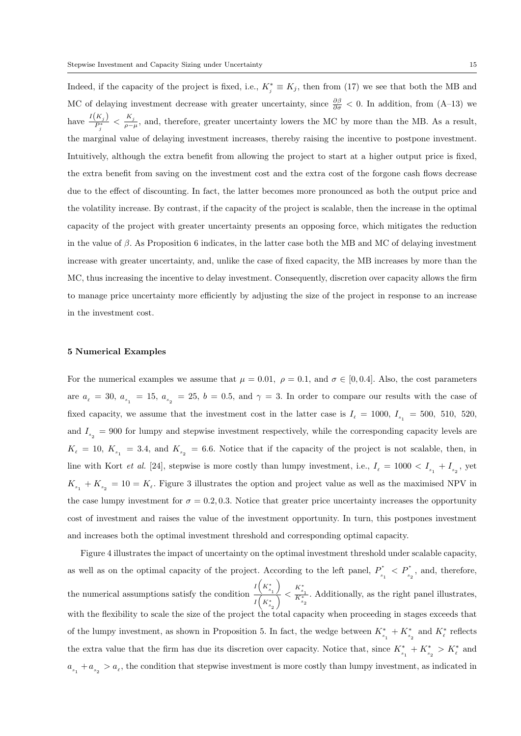Indeed, if the capacity of the project is fixed, i.e.,  $K_j^* \equiv K_j$ , then from (17) we see that both the MB and MC of delaying investment decrease with greater uncertainty, since  $\frac{\partial \beta}{\partial \sigma} < 0$ . In addition, from (A–13) we have  $\frac{I(K_j)}{P_j^*} < \frac{K_j}{\rho - \mu}$ , and, therefore, greater uncertainty lowers the MC by more than the MB. As a result, the marginal value of delaying investment increases, thereby raising the incentive to postpone investment. Intuitively, although the extra benefit from allowing the project to start at a higher output price is fixed, the extra benefit from saving on the investment cost and the extra cost of the forgone cash flows decrease due to the effect of discounting. In fact, the latter becomes more pronounced as both the output price and the volatility increase. By contrast, if the capacity of the project is scalable, then the increase in the optimal capacity of the project with greater uncertainty presents an opposing force, which mitigates the reduction in the value of  $\beta$ . As Proposition 6 indicates, in the latter case both the MB and MC of delaying investment increase with greater uncertainty, and, unlike the case of fixed capacity, the MB increases by more than the MC, thus increasing the incentive to delay investment. Consequently, discretion over capacity allows the firm to manage price uncertainty more efficiently by adjusting the size of the project in response to an increase in the investment cost.

#### 5 Numerical Examples

For the numerical examples we assume that  $\mu = 0.01$ ,  $\rho = 0.1$ , and  $\sigma \in [0, 0.4]$ . Also, the cost parameters are  $a_{\ell} = 30$ ,  $a_{s_1} = 15$ ,  $a_{s_2} = 25$ ,  $b = 0.5$ , and  $\gamma = 3$ . In order to compare our results with the case of fixed capacity, we assume that the investment cost in the latter case is  $I_{\ell} = 1000, I_{s_1} = 500, 510, 520,$ and  $I_{s_2} = 900$  for lumpy and stepwise investment respectively, while the corresponding capacity levels are  $K_{\ell} = 10, K_{s_1} = 3.4,$  and  $K_{s_2} = 6.6$ . Notice that if the capacity of the project is not scalable, then, in line with Kort *et al.* [24], stepwise is more costly than lumpy investment, i.e.,  $I_{\ell} = 1000 < I_{s_1} + I_{s_2}$ , yet  $K_{s_1} + K_{s_2} = 10 = K_{\ell}$ . Figure 3 illustrates the option and project value as well as the maximised NPV in the case lumpy investment for  $\sigma = 0.2, 0.3$ . Notice that greater price uncertainty increases the opportunity cost of investment and raises the value of the investment opportunity. In turn, this postpones investment and increases both the optimal investment threshold and corresponding optimal capacity.

Figure 4 illustrates the impact of uncertainty on the optimal investment threshold under scalable capacity, as well as on the optimal capacity of the project. According to the left panel,  $P_{\phi}^*$  $P_{s_1}^*$  <  $P_{s_2}^*$ , and, therefore, the numerical assumptions satisfy the condition  $\frac{I(K_{s_1}^*)}{I(K_{s_1}^*)}$ λ  $I\left(K^*_{s_2}\right)$  $\sum_{K_{s_2}^*} < \frac{K_{s_1}^*}{K_{s_2}^*}$ . Additionally, as the right panel illustrates, with the flexibility to scale the size of the project the total capacity when proceeding in stages exceeds that of the lumpy investment, as shown in Proposition 5. In fact, the wedge between  $K_{s_1}^* + K_{s_2}^*$  and  $K_{\ell}^*$  reflects the extra value that the firm has due its discretion over capacity. Notice that, since  $K_{s_1}^* + K_{s_2}^* > K_{\ell}^*$  and  $a_{s_1} + a_{s_2} > a_{\ell}$ , the condition that stepwise investment is more costly than lumpy investment, as indicated in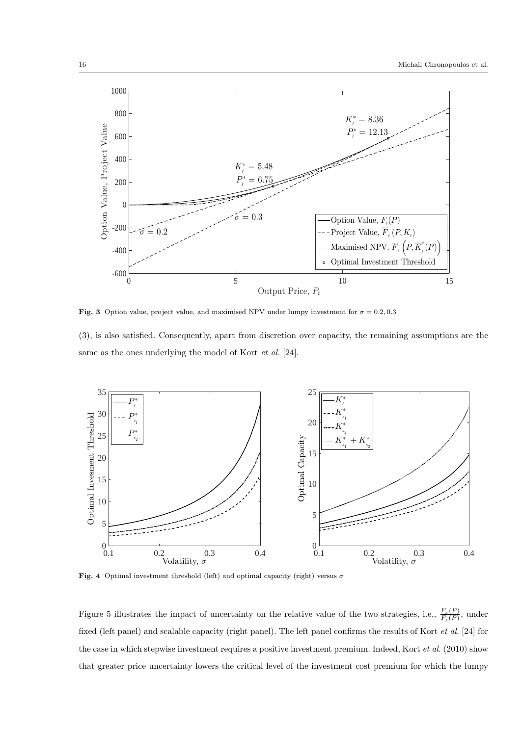

Fig. 3 Option value, project value, and maximised NPV under lumpy investment for  $\sigma = 0.2, 0.3$ 

(3), is also satisfied. Consequently, apart from discretion over capacity, the remaining assumptions are the same as the ones underlying the model of Kort et al. [24].



Fig. 4 Optimal investment threshold (left) and optimal capacity (right) versus  $\sigma$ 

Figure 5 illustrates the impact of uncertainty on the relative value of the two strategies, i.e.,  $\frac{F_s(P)}{F_P(P)}$  $\frac{F_s(P)}{F_{\ell}(P)}$ , under fixed (left panel) and scalable capacity (right panel). The left panel confirms the results of Kort et al. [24] for the case in which stepwise investment requires a positive investment premium. Indeed, Kort et al. (2010) show that greater price uncertainty lowers the critical level of the investment cost premium for which the lumpy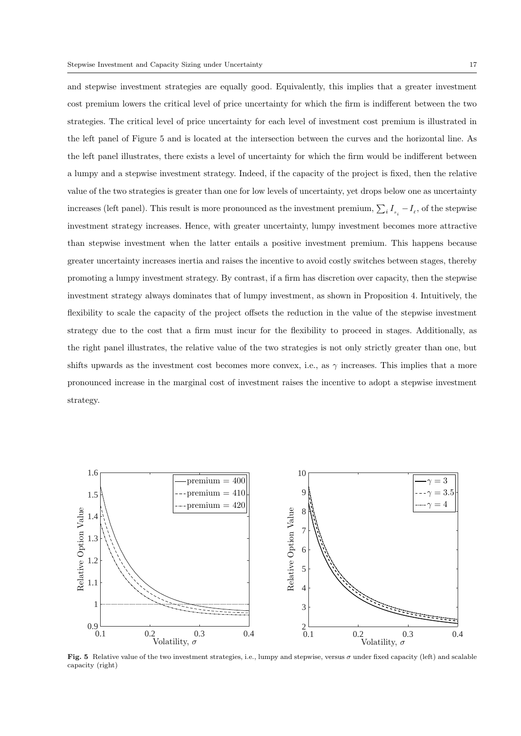and stepwise investment strategies are equally good. Equivalently, this implies that a greater investment cost premium lowers the critical level of price uncertainty for which the firm is indifferent between the two strategies. The critical level of price uncertainty for each level of investment cost premium is illustrated in the left panel of Figure 5 and is located at the intersection between the curves and the horizontal line. As the left panel illustrates, there exists a level of uncertainty for which the firm would be indifferent between a lumpy and a stepwise investment strategy. Indeed, if the capacity of the project is fixed, then the relative value of the two strategies is greater than one for low levels of uncertainty, yet drops below one as uncertainty increases (left panel). This result is more pronounced as the investment premium,  $\sum_i I_{s_i} - I_{\ell}$ , of the stepwise investment strategy increases. Hence, with greater uncertainty, lumpy investment becomes more attractive than stepwise investment when the latter entails a positive investment premium. This happens because greater uncertainty increases inertia and raises the incentive to avoid costly switches between stages, thereby promoting a lumpy investment strategy. By contrast, if a firm has discretion over capacity, then the stepwise investment strategy always dominates that of lumpy investment, as shown in Proposition 4. Intuitively, the flexibility to scale the capacity of the project offsets the reduction in the value of the stepwise investment strategy due to the cost that a firm must incur for the flexibility to proceed in stages. Additionally, as the right panel illustrates, the relative value of the two strategies is not only strictly greater than one, but shifts upwards as the investment cost becomes more convex, i.e., as  $\gamma$  increases. This implies that a more pronounced increase in the marginal cost of investment raises the incentive to adopt a stepwise investment strategy.



Fig. 5 Relative value of the two investment strategies, i.e., lumpy and stepwise, versus σ under fixed capacity (left) and scalable capacity (right)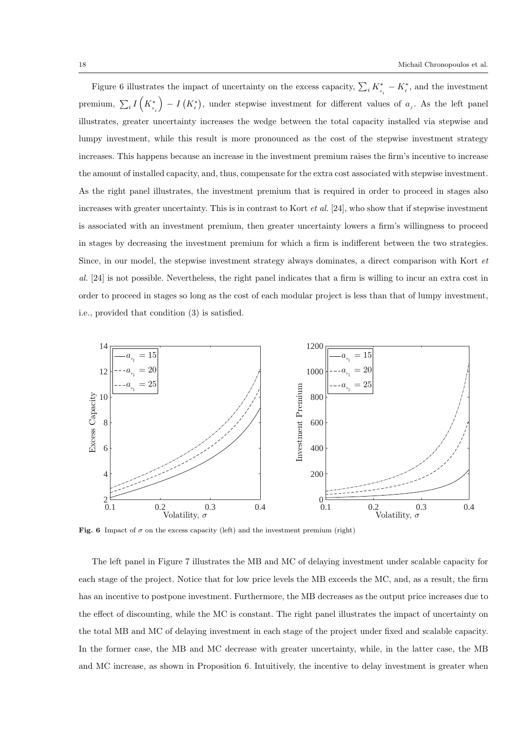Figure 6 illustrates the impact of uncertainty on the excess capacity,  $\sum_i K_{s_i}^* - K_{\ell}^*$ , and the investment premium,  $\sum_i I\left(K_{s_i}^*\right)$  $- I(K_{\ell}^*),$  under stepwise investment for different values of  $a_j$ . As the left panel illustrates, greater uncertainty increases the wedge between the total capacity installed via stepwise and lumpy investment, while this result is more pronounced as the cost of the stepwise investment strategy increases. This happens because an increase in the investment premium raises the firm's incentive to increase the amount of installed capacity, and, thus, compensate for the extra cost associated with stepwise investment. As the right panel illustrates, the investment premium that is required in order to proceed in stages also increases with greater uncertainty. This is in contrast to Kort *et al.* [24], who show that if stepwise investment is associated with an investment premium, then greater uncertainty lowers a firm's willingness to proceed in stages by decreasing the investment premium for which a firm is indifferent between the two strategies. Since, in our model, the stepwise investment strategy always dominates, a direct comparison with Kort et al. [24] is not possible. Nevertheless, the right panel indicates that a firm is willing to incur an extra cost in order to proceed in stages so long as the cost of each modular project is less than that of lumpy investment, i.e., provided that condition (3) is satisfied.



Fig. 6 Impact of  $\sigma$  on the excess capacity (left) and the investment premium (right)

The left panel in Figure 7 illustrates the MB and MC of delaying investment under scalable capacity for each stage of the project. Notice that for low price levels the MB exceeds the MC, and, as a result, the firm has an incentive to postpone investment. Furthermore, the MB decreases as the output price increases due to the effect of discounting, while the MC is constant. The right panel illustrates the impact of uncertainty on the total MB and MC of delaying investment in each stage of the project under fixed and scalable capacity. In the former case, the MB and MC decrease with greater uncertainty, while, in the latter case, the MB and MC increase, as shown in Proposition 6. Intuitively, the incentive to delay investment is greater when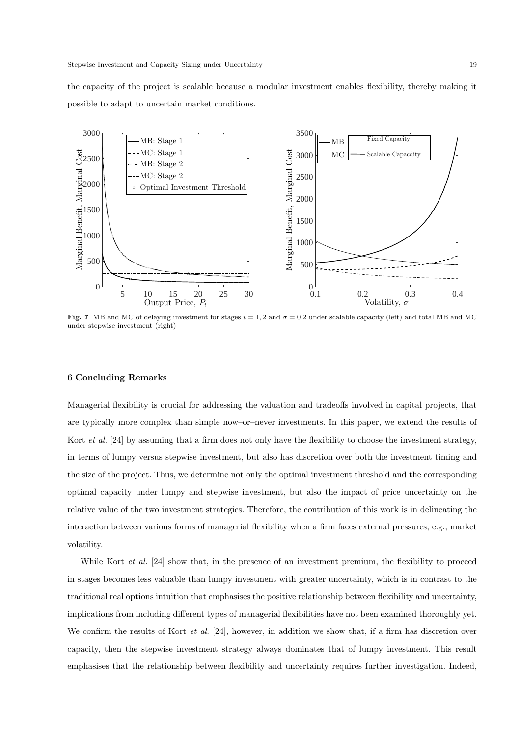the capacity of the project is scalable because a modular investment enables flexibility, thereby making it possible to adapt to uncertain market conditions.



Fig. 7 MB and MC of delaying investment for stages  $i = 1, 2$  and  $\sigma = 0.2$  under scalable capacity (left) and total MB and MC under stepwise investment (right)

# 6 Concluding Remarks

Managerial flexibility is crucial for addressing the valuation and tradeoffs involved in capital projects, that are typically more complex than simple now–or–never investments. In this paper, we extend the results of Kort *et al.* [24] by assuming that a firm does not only have the flexibility to choose the investment strategy, in terms of lumpy versus stepwise investment, but also has discretion over both the investment timing and the size of the project. Thus, we determine not only the optimal investment threshold and the corresponding optimal capacity under lumpy and stepwise investment, but also the impact of price uncertainty on the relative value of the two investment strategies. Therefore, the contribution of this work is in delineating the interaction between various forms of managerial flexibility when a firm faces external pressures, e.g., market volatility.

While Kort *et al.* [24] show that, in the presence of an investment premium, the flexibility to proceed in stages becomes less valuable than lumpy investment with greater uncertainty, which is in contrast to the traditional real options intuition that emphasises the positive relationship between flexibility and uncertainty, implications from including different types of managerial flexibilities have not been examined thoroughly yet. We confirm the results of Kort *et al.* [24], however, in addition we show that, if a firm has discretion over capacity, then the stepwise investment strategy always dominates that of lumpy investment. This result emphasises that the relationship between flexibility and uncertainty requires further investigation. Indeed,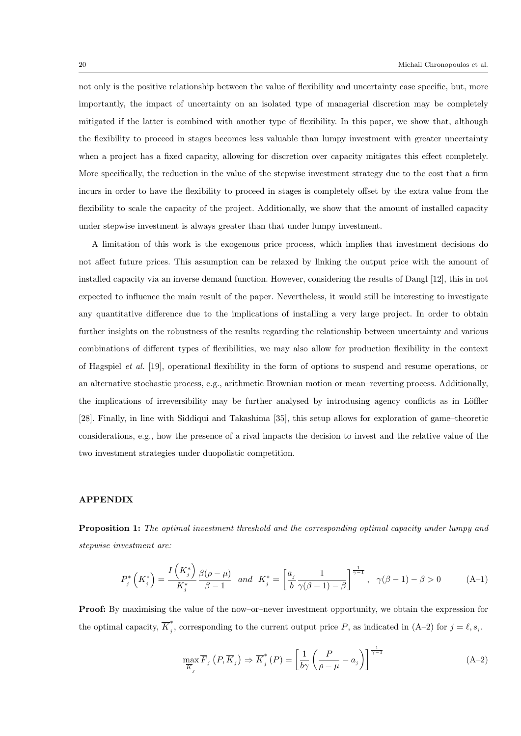not only is the positive relationship between the value of flexibility and uncertainty case specific, but, more importantly, the impact of uncertainty on an isolated type of managerial discretion may be completely mitigated if the latter is combined with another type of flexibility. In this paper, we show that, although the flexibility to proceed in stages becomes less valuable than lumpy investment with greater uncertainty when a project has a fixed capacity, allowing for discretion over capacity mitigates this effect completely. More specifically, the reduction in the value of the stepwise investment strategy due to the cost that a firm incurs in order to have the flexibility to proceed in stages is completely offset by the extra value from the flexibility to scale the capacity of the project. Additionally, we show that the amount of installed capacity under stepwise investment is always greater than that under lumpy investment.

A limitation of this work is the exogenous price process, which implies that investment decisions do not affect future prices. This assumption can be relaxed by linking the output price with the amount of installed capacity via an inverse demand function. However, considering the results of Dangl [12], this in not expected to influence the main result of the paper. Nevertheless, it would still be interesting to investigate any quantitative difference due to the implications of installing a very large project. In order to obtain further insights on the robustness of the results regarding the relationship between uncertainty and various combinations of different types of flexibilities, we may also allow for production flexibility in the context of Hagspiel et al. [19], operational flexibility in the form of options to suspend and resume operations, or an alternative stochastic process, e.g., arithmetic Brownian motion or mean–reverting process. Additionally, the implications of irreversibility may be further analysed by introdusing agency conflicts as in Löffler [28]. Finally, in line with Siddiqui and Takashima [35], this setup allows for exploration of game–theoretic considerations, e.g., how the presence of a rival impacts the decision to invest and the relative value of the two investment strategies under duopolistic competition.

#### APPENDIX

Proposition 1: The optimal investment threshold and the corresponding optimal capacity under lumpy and stepwise investment are:

$$
P_j^*\left(K_j^*\right) = \frac{I\left(K_j^*\right)}{K_j^*} \frac{\beta(\rho - \mu)}{\beta - 1} \quad \text{and} \quad K_j^* = \left[\frac{a_j}{b} \frac{1}{\gamma(\beta - 1) - \beta}\right]^{\frac{1}{\gamma - 1}}, \quad \gamma(\beta - 1) - \beta > 0 \tag{A-1}
$$

Proof: By maximising the value of the now–or–never investment opportunity, we obtain the expression for the optimal capacity,  $\overline{K}^*_i$ , corresponding to the current output price P, as indicated in  $(A-2)$  for  $j = \ell, s_i$ .

$$
\max_{\overline{K}_j} \overline{F}_j \left( P, \overline{K}_j \right) \Rightarrow \overline{K}_j^* \left( P \right) = \left[ \frac{1}{b\gamma} \left( \frac{P}{\rho - \mu} - a_j \right) \right]^{\frac{1}{\gamma - 1}} \tag{A-2}
$$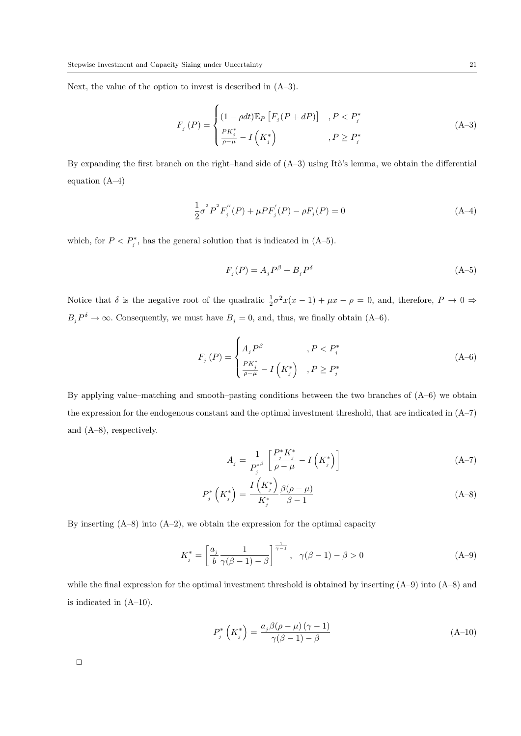Next, the value of the option to invest is described in (A–3).

$$
F_j(P) = \begin{cases} (1 - \rho dt) \mathbb{E}_P \left[ F_j(P + dP) \right] & P < P_j^* \\ \frac{PK_j^*}{\rho - \mu} - I \left( K_j^* \right) & \quad P \ge P_j^* \end{cases} \tag{A-3}
$$

By expanding the first branch on the right–hand side of  $(A-3)$  using Itô's lemma, we obtain the differential equation (A–4)

$$
\frac{1}{2}\sigma^2 P^2 F_j''(P) + \mu P F_j'(P) - \rho F_j(P) = 0
$$
\n(A-4)

which, for  $P < P_j^*$ , has the general solution that is indicated in  $(A-5)$ .

$$
F_j(P) = A_j P^{\beta} + B_j P^{\delta} \tag{A-5}
$$

Notice that  $\delta$  is the negative root of the quadratic  $\frac{1}{2}\sigma^2 x(x-1) + \mu x - \rho = 0$ , and, therefore,  $P \to 0 \Rightarrow$  $B_j P^{\delta} \to \infty$ . Consequently, we must have  $B_j = 0$ , and, thus, we finally obtain (A-6).

$$
F_{j}(P) = \begin{cases} A_{j}P^{\beta} & , P < P_{j}^{*} \\ \frac{PK_{j}^{*}}{\rho - \mu} - I\left(K_{j}^{*}\right) & , P \ge P_{j}^{*} \end{cases}
$$
 (A-6)

By applying value–matching and smooth–pasting conditions between the two branches of (A–6) we obtain the expression for the endogenous constant and the optimal investment threshold, that are indicated in (A–7) and (A–8), respectively.

$$
A_{j} = \frac{1}{P_{j}^{*^{\beta}}} \left[ \frac{P_{j}^{*} K_{j}^{*}}{\rho - \mu} - I \left( K_{j}^{*} \right) \right]
$$
\n(A-7)

$$
P_j^*\left(K_j^*\right) = \frac{I\left(K_j^*\right)}{K_j^*} \frac{\beta(\rho - \mu)}{\beta - 1} \tag{A-8}
$$

By inserting  $(A-8)$  into  $(A-2)$ , we obtain the expression for the optimal capacity

$$
K_j^* = \left[\frac{a_j}{b} \frac{1}{\gamma(\beta - 1) - \beta}\right]^{\frac{1}{\gamma - 1}}, \quad \gamma(\beta - 1) - \beta > 0 \tag{A-9}
$$

while the final expression for the optimal investment threshold is obtained by inserting (A–9) into (A–8) and is indicated in (A–10).

$$
P_j^*\left(K_j^*\right) = \frac{a_j \beta(\rho - \mu)\left(\gamma - 1\right)}{\gamma(\beta - 1) - \beta} \tag{A-10}
$$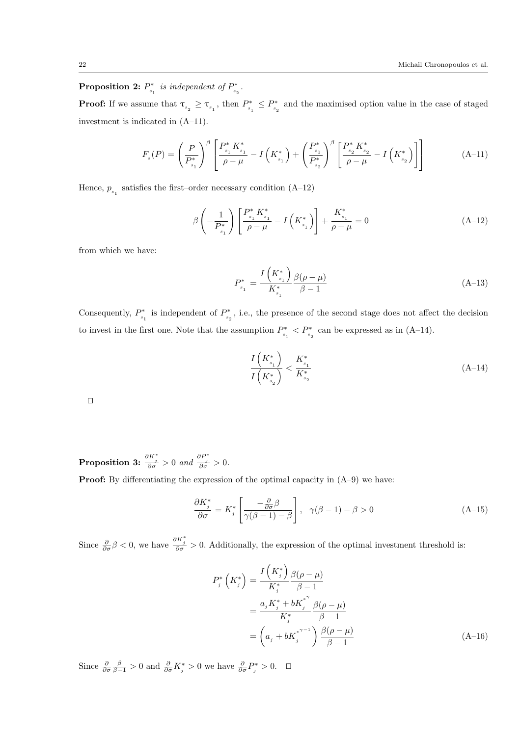Proposition 2:  $P^*$  $\sum_{s_1}^*$  is independent of  $P_{s_2}^*$  $\frac{s_2}{s_2}$  .

**Proof:** If we assume that  $\tau_{s_2} \geq \tau_{s_1}$ , then  $P_{s_1}^*$  $P_{s_1}^* \leq P_{s_2}^*$  $\genfrac{}{}{0pt}{}{\vphantom{\overline{S}}\vphantom{\overline{S}}\vphantom{\overline{S}}\vphantom{\overline{S}}\vphantom{\overline{S}}\vphantom{\overline{S}}\vphantom{\overline{S}}\vphantom{\overline{S}}\vphantom{\overline{S}}\vphantom{\overline{S}}\vphantom{\overline{S}}\vphantom{\overline{S}}\vphantom{\overline{S}}\vphantom{\overline{S}}\vphantom{\overline{S}}\vphantom{\overline{S}}\vphantom{\overline{S}}\vphantom{\overline{S}}\vphantom{\overline{S}}\vphantom{\overline{S}}\vphantom{\overline{S}}$ investment is indicated in (A–11).

$$
F_s(P) = \left(\frac{P}{P_{s_1}^*}\right)^{\beta} \left[\frac{P_{s_1}^* K_{s_1}^*}{\rho - \mu} - I\left(K_{s_1}^*\right) + \left(\frac{P_{s_1}^*}{P_{s_2}^*}\right)^{\beta} \left[\frac{P_{s_2}^* K_{s_2}^*}{\rho - \mu} - I\left(K_{s_2}^*\right)\right]\right]
$$
(A-11)

Hence,  $\boldsymbol{p}_{s_1}$  satisfies the first–order necessary condition (A–12)

$$
\beta \left( -\frac{1}{P_{s_1}^*} \right) \left[ \frac{P_{s_1}^* K_{s_1}^*}{\rho - \mu} - I \left( K_{s_1}^* \right) \right] + \frac{K_{s_1}^*}{\rho - \mu} = 0 \tag{A-12}
$$

from which we have:

$$
P_{s_1}^* = \frac{I\left(K_{s_1}^*\right)}{K_{s_1}^*} \frac{\beta(\rho - \mu)}{\beta - 1}
$$
\n(A-13)

Consequently,  $P^*_{\cdot}$ <sup>2\*</sup><sub>s<sub>1</sub></sub> is independent of  $P_{s_2}^*$  $\mathcal{C}^*_{s_2}$  , i.e., the presence of the second stage does not affect the decision to invest in the first one. Note that the assumption  $P^*$ .  $P_{s_1}^* < P_{s_2}^*$  can be expressed as in (A-14).

$$
\frac{I\left(K_{s_1}^*\right)}{I\left(K_{s_2}^*\right)} < \frac{K_{s_1}^*}{K_{s_2}^*} \tag{A-14}
$$

 $\Box$ 

**Proposition 3:**  $\frac{\partial K_j^*}{\partial \sigma} > 0$  and  $\frac{\partial P_j^*}{\partial \sigma} > 0$ .

**Proof:** By differentiating the expression of the optimal capacity in  $(A-9)$  we have:

$$
\frac{\partial K_j^*}{\partial \sigma} = K_j^* \left[ \frac{-\frac{\partial}{\partial \sigma} \beta}{\gamma(\beta - 1) - \beta} \right], \quad \gamma(\beta - 1) - \beta > 0 \tag{A-15}
$$

Since  $\frac{\partial}{\partial \sigma}\beta < 0$ , we have  $\frac{\partial K_j^*}{\partial \sigma} > 0$ . Additionally, the expression of the optimal investment threshold is:

$$
P_{j}^{*}\left(K_{j}^{*}\right) = \frac{I\left(K_{j}^{*}\right)}{K_{j}^{*}} \frac{\beta(\rho - \mu)}{\beta - 1}
$$
  
= 
$$
\frac{a_{j}K_{j}^{*} + bK_{j}^{*}}{K_{j}^{*}} \frac{\beta(\rho - \mu)}{\beta - 1}
$$
  
= 
$$
\left(a_{j} + bK_{j}^{*} \right) \frac{\beta(\rho - \mu)}{\beta - 1}
$$
 (A-16)

Since  $\frac{\partial}{\partial \sigma} \frac{\beta}{\beta - 1} > 0$  and  $\frac{\partial}{\partial \sigma} K^*_{j} > 0$  we have  $\frac{\partial}{\partial \sigma} P^*_{j} > 0$ .  $\Box$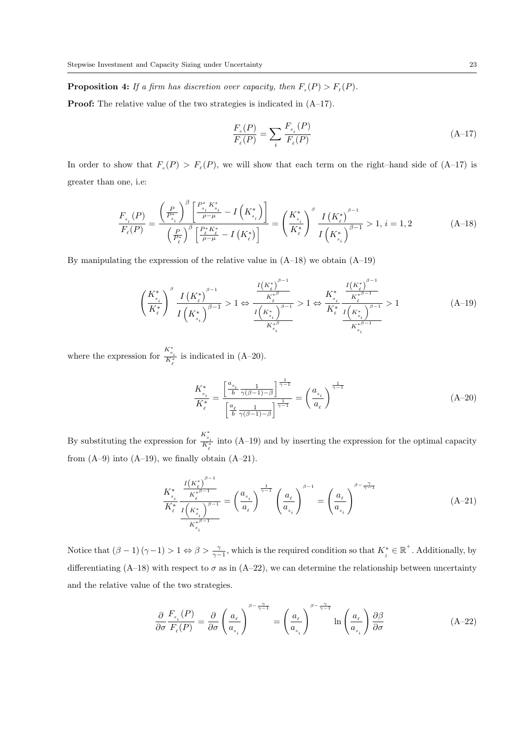**Proposition 4:** If a firm has discretion over capacity, then  $F_s(P) > F_e(P)$ .

Proof: The relative value of the two strategies is indicated in (A–17).

$$
\frac{F_s(P)}{F_\ell(P)} = \sum_i \frac{F_{s_i}(P)}{F_\ell(P)}\tag{A-17}
$$

In order to show that  $F_s(P) > F_{\ell}(P)$ , we will show that each term on the right-hand side of  $(A-17)$  is greater than one, i.e:

$$
\frac{F_{s_i}(P)}{F_{\ell}(P)} = \frac{\left(\frac{P}{P_{s_i}^*}\right)^{\beta} \left[\frac{P_{s_i}^* K_{s_i}^*}{\rho - \mu} - I\left(K_{s_i}^*\right)\right]}{\left(\frac{P}{P_{\ell}^*}\right)^{\beta} \left[\frac{P_{\ell}^* K_{\ell}^*}{\rho - \mu} - I\left(K_{\ell}^*\right)\right]} = \left(\frac{K_{s_i}^*}{K_{\ell}^*}\right)^{\beta} \frac{I\left(K_{\ell}^*\right)^{\beta - 1}}{I\left(K_{s_i}^*\right)^{\beta - 1}} > 1, i = 1, 2 \tag{A-18}
$$

By manipulating the expression of the relative value in  $(A-18)$  we obtain  $(A-19)$ 

$$
\left(\frac{K_{s_i}^*}{K_{\ell}^*}\right)^{\beta} \frac{I\left(K_{\ell}^*\right)^{\beta-1}}{I\left(K_{s_i}^*\right)^{\beta-1}} > 1 \Leftrightarrow \frac{\frac{I\left(K_{\ell}^*\right)^{\beta-1}}{K_{\ell}^*}}{\frac{I\left(K_{s_i}^*\right)^{\beta-1}}{K_{s_i}^*}} > 1 \Leftrightarrow \frac{K_{s_i}^*}{K_{\ell}^*} \frac{\frac{I\left(K_{\ell}^*\right)^{\beta-1}}{K_{s_i}^*}}{\frac{I\left(K_{s_i}^*\right)^{\beta-1}}{K_{s_i}^*}} > 1
$$
\n(A-19)

where the expression for  $\frac{K_{s_i}^*}{K_{\ell}^*}$  is indicated in (A–20).

$$
\frac{K_{s_i}^*}{K_{\ell}^*} = \frac{\left[\frac{a_{s_i}}{b} \frac{1}{\gamma(\beta - 1) - \beta}\right]^{\frac{1}{\gamma - 1}}}{\left[\frac{a_{\ell}}{b} \frac{1}{\gamma(\beta - 1) - \beta}\right]^{\frac{1}{\gamma - 1}}} = \left(\frac{a_{s_i}}{a_{\ell}}\right)^{\frac{1}{\gamma - 1}}
$$
\n(A-20)

By substituting the expression for  $\frac{K_{s_i}^*}{K_{\ell}^*}$  into (A–19) and by inserting the expression for the optimal capacity from  $(A-9)$  into  $(A-19)$ , we finally obtain  $(A-21)$ .

$$
\frac{K_{s_i}^*}{K_{\ell}^*} \frac{\frac{I\left(K_{\ell}^*\right)^{\beta-1}}{K_{\ell}^*^{s_{i-1}}}}{\frac{I\left(K_{s_i}^*\right)^{\beta-1}}{K_{s_i}^*^{s_{i-1}}}} = \left(\frac{a_{s_i}}{a_{\ell}}\right)^{\frac{1}{\gamma-1}} \left(\frac{a_{\ell}}{a_{s_i}}\right)^{\beta-1} = \left(\frac{a_{\ell}}{a_{s_i}}\right)^{\beta-\frac{\gamma}{\gamma-1}} \tag{A-21}
$$

Notice that  $(\beta - 1)(\gamma - 1) > 1 \Leftrightarrow \beta > \frac{\gamma}{\gamma - 1}$ , which is the required condition so that  $K_j^* \in \mathbb{R}^+$ . Additionally, by differentiating (A–18) with respect to  $\sigma$  as in (A–22), we can determine the relationship between uncertainty and the relative value of the two strategies.

$$
\frac{\partial}{\partial \sigma} \frac{F_{s_i}(P)}{F_{\ell}(P)} = \frac{\partial}{\partial \sigma} \left(\frac{a_{\ell}}{a_{s_i}}\right)^{\beta - \frac{\gamma}{\gamma - 1}} = \left(\frac{a_{\ell}}{a_{s_i}}\right)^{\beta - \frac{\gamma}{\gamma - 1}} \ln\left(\frac{a_{\ell}}{a_{s_i}}\right) \frac{\partial \beta}{\partial \sigma}
$$
(A-22)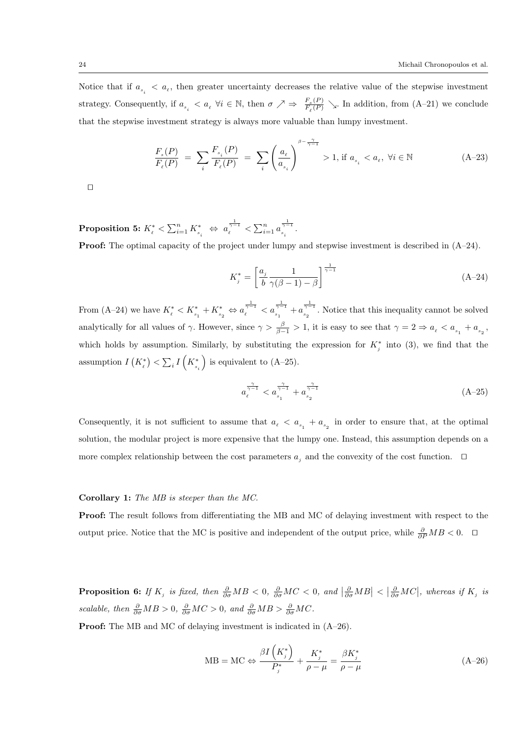Notice that if  $a_{s_i} < a_{\ell}$ , then greater uncertainty decreases the relative value of the stepwise investment strategy. Consequently, if  $a_{s_i} < a_{\ell} \ \forall i \in \mathbb{N}$ , then  $\sigma \nearrow \Rightarrow \frac{F_s(P)}{F_{\ell}(P)}$  $\frac{F_s(P)}{F_{\ell}(P)}$   $\searrow$ . In addition, from (A–21) we conclude that the stepwise investment strategy is always more valuable than lumpy investment.

$$
\frac{F_{s}(P)}{F_{\ell}(P)} \; = \; \sum_{i} \frac{F_{s_i}(P)}{F_{\ell}(P)} \; = \; \sum_{i} \left( \frac{a_{\ell}}{a_{_{s_i}}} \right)^{\beta - \frac{\gamma}{\gamma - 1}} \; > 1, \, \text{if} \, \, a_{_{s_i}} < a_{_{\ell}}, \, \, \forall i \in \mathbb{N} \tag{A-23}
$$

 $\Box$ 

 $\textbf{Proposition 5:}~K_\ell^* < \sum_{i=1}^n K_{s_i}^* \; \Leftrightarrow \; a_\ell^{\frac{1}{\gamma-1}} < \sum_{i=1}^n a_{s_i}^{\frac{1}{\gamma-1}}$  $\frac{\gamma-1}{s_i}$ .

**Proof:** The optimal capacity of the project under lumpy and stepwise investment is described in  $(A-24)$ .

$$
K_j^* = \left[\frac{a_j}{b} \frac{1}{\gamma(\beta - 1) - \beta}\right]^{\frac{1}{\gamma - 1}}
$$
 (A-24)

From (A–24) we have  $K_{\ell}^{*} < K_{s_1}^{*} + K_{s_2}^{*} \Leftrightarrow a_{\ell}^{\frac{1}{\gamma-1}} < a_{s_1}^{\frac{1}{\gamma-1}}$  $\frac{1}{\gamma-1}$ <sub>s<sub>1</sub></sub>  $+ a_{s_2}^{\frac{1}{\gamma-1}}$  $s_2^{2^{n-1}}$ . Notice that this inequality cannot be solved analytically for all values of  $\gamma$ . However, since  $\gamma > \frac{\beta}{\beta-1} > 1$ , it is easy to see that  $\gamma = 2 \Rightarrow a_{\ell} < a_{s_1} + a_{s_2}$ , which holds by assumption. Similarly, by substituting the expression for  $K_j^*$  into (3), we find that the assumption  $I(K_{\ell}^{*}) < \sum_{i} I(K_{s_{i}}^{*})$ ) is equivalent to  $(A-25)$ .

$$
a_{\ell}^{\frac{\gamma}{\gamma-1}} < a_{s_1}^{\frac{\gamma}{\gamma-1}} + a_{s_2}^{\frac{\gamma}{\gamma-1}} \tag{A-25}
$$

Consequently, it is not sufficient to assume that  $a_{\ell} < a_{s_1} + a_{s_2}$  in order to ensure that, at the optimal solution, the modular project is more expensive that the lumpy one. Instead, this assumption depends on a more complex relationship between the cost parameters  $a_j$  and the convexity of the cost function.  $\Box$ 

#### Corollary 1: The MB is steeper than the MC.

Proof: The result follows from differentiating the MB and MC of delaying investment with respect to the output price. Notice that the MC is positive and independent of the output price, while  $\frac{\partial}{\partial P} MB < 0$ .  $\Box$ 

**Proposition 6:** If  $K_j$  is fixed, then  $\frac{\partial}{\partial \sigma}MB < 0$ ,  $\frac{\partial}{\partial \sigma}MC < 0$ , and  $\left|\frac{\partial}{\partial \sigma}MB\right| < \left|\frac{\partial}{\partial \sigma}MC\right|$ , whereas if  $K_j$  is scalable, then  $\frac{\partial}{\partial \sigma}MB > 0$ ,  $\frac{\partial}{\partial \sigma}MC > 0$ , and  $\frac{\partial}{\partial \sigma}MB > \frac{\partial}{\partial \sigma}MC$ .

**Proof:** The MB and MC of delaying investment is indicated in  $(A-26)$ .

$$
MB = MC \Leftrightarrow \frac{\beta I\left(K_j^*\right)}{P_j^*} + \frac{K_j^*}{\rho - \mu} = \frac{\beta K_j^*}{\rho - \mu}
$$
\n(A-26)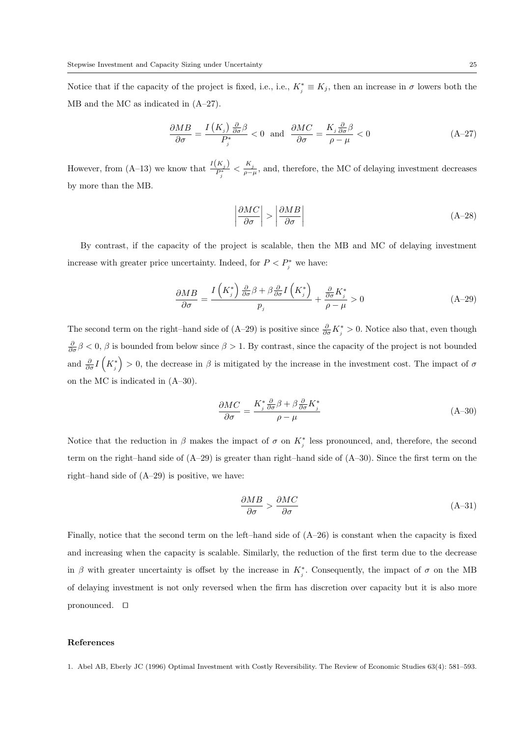Notice that if the capacity of the project is fixed, i.e., i.e.,  $K_j^* \equiv K_j$ , then an increase in  $\sigma$  lowers both the MB and the MC as indicated in (A–27).

$$
\frac{\partial MB}{\partial \sigma} = \frac{I(K_j) \frac{\partial}{\partial \sigma} \beta}{P_j^*} < 0 \text{ and } \frac{\partial MC}{\partial \sigma} = \frac{K_j \frac{\partial}{\partial \sigma} \beta}{\rho - \mu} < 0 \tag{A-27}
$$

However, from (A–13) we know that  $\frac{I(K_j)}{P_j^*} < \frac{K_j}{\rho - \mu}$ , and, therefore, the MC of delaying investment decreases by more than the MB.

$$
\left| \frac{\partial MC}{\partial \sigma} \right| > \left| \frac{\partial MB}{\partial \sigma} \right| \tag{A-28}
$$

By contrast, if the capacity of the project is scalable, then the MB and MC of delaying investment increase with greater price uncertainty. Indeed, for  $P < P_j^*$  we have:

$$
\frac{\partial MB}{\partial \sigma} = \frac{I\left(K_j^*\right) \frac{\partial}{\partial \sigma} \beta + \beta \frac{\partial}{\partial \sigma} I\left(K_j^*\right)}{p_j} + \frac{\frac{\partial}{\partial \sigma} K_j^*}{\rho - \mu} > 0 \tag{A-29}
$$

The second term on the right–hand side of  $(A-29)$  is positive since  $\frac{\partial}{\partial \sigma} K_j^* > 0$ . Notice also that, even though  $\frac{\partial}{\partial \sigma}$ β < 0, β is bounded from below since  $\beta > 1$ . By contrast, since the capacity of the project is not bounded and  $\frac{\partial}{\partial \sigma} I\left(K_i^*\right) > 0$ , the decrease in  $\beta$  is mitigated by the increase in the investment cost. The impact of  $\sigma$ on the MC is indicated in (A–30).

$$
\frac{\partial MC}{\partial \sigma} = \frac{K_j^* \frac{\partial}{\partial \sigma} \beta + \beta \frac{\partial}{\partial \sigma} K_j^*}{\rho - \mu}
$$
\n(A-30)

Notice that the reduction in  $\beta$  makes the impact of  $\sigma$  on  $K_j^*$  less pronounced, and, therefore, the second term on the right–hand side of (A–29) is greater than right–hand side of (A–30). Since the first term on the right–hand side of (A–29) is positive, we have:

$$
\frac{\partial MB}{\partial \sigma} > \frac{\partial MC}{\partial \sigma} \tag{A-31}
$$

Finally, notice that the second term on the left–hand side of (A–26) is constant when the capacity is fixed and increasing when the capacity is scalable. Similarly, the reduction of the first term due to the decrease in  $\beta$  with greater uncertainty is offset by the increase in  $K_j^*$ . Consequently, the impact of  $\sigma$  on the MB of delaying investment is not only reversed when the firm has discretion over capacity but it is also more pronounced.  $\square$ 

#### References

1. Abel AB, Eberly JC (1996) Optimal Investment with Costly Reversibility. The Review of Economic Studies 63(4): 581–593.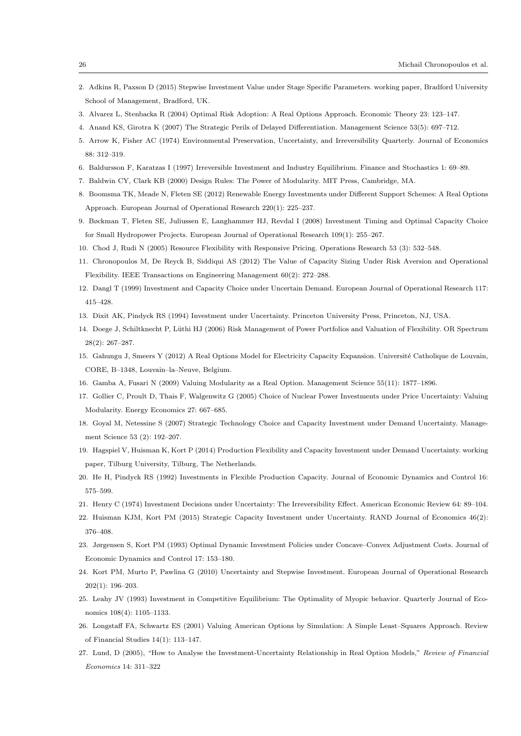- 2. Adkins R, Paxson D (2015) Stepwise Investment Value under Stage Specific Parameters. working paper, Bradford University School of Management, Bradford, UK.
- 3. Alvarez L, Stenbacka R (2004) Optimal Risk Adoption: A Real Options Approach. Economic Theory 23: 123–147.
- 4. Anand KS, Girotra K (2007) The Strategic Perils of Delayed Differentiation. Management Science 53(5): 697–712.
- 5. Arrow K, Fisher AC (1974) Environmental Preservation, Uncertainty, and Irreversibility Quarterly. Journal of Economics 88: 312–319.
- 6. Baldursson F, Karatzas I (1997) Irreversible Investment and Industry Equilibrium. Finance and Stochastics 1: 69–89.
- 7. Baldwin CY, Clark KB (2000) Design Rules: The Power of Modularity. MIT Press, Cambridge, MA.
- 8. Boomsma TK, Meade N, Fleten SE (2012) Renewable Energy Investments under Different Support Schemes: A Real Options Approach. European Journal of Operational Research 220(1): 225–237.
- 9. Bøckman T, Fleten SE, Juliussen E, Langhammer HJ, Revdal I (2008) Investment Timing and Optimal Capacity Choice for Small Hydropower Projects. European Journal of Operational Research 109(1): 255–267.
- 10. Chod J, Rudi N (2005) Resource Flexibility with Responsive Pricing. Operations Research 53 (3): 532–548.
- 11. Chronopoulos M, De Reyck B, Siddiqui AS (2012) The Value of Capacity Sizing Under Risk Aversion and Operational Flexibility. IEEE Transactions on Engineering Management 60(2): 272–288.
- 12. Dangl T (1999) Investment and Capacity Choice under Uncertain Demand. European Journal of Operational Research 117: 415–428.
- 13. Dixit AK, Pindyck RS (1994) Investment under Uncertainty. Princeton University Press, Princeton, NJ, USA.
- 14. Doege J, Schiltknecht P, Lüthi HJ (2006) Risk Management of Power Portfolios and Valuation of Flexibility. OR Spectrum 28(2): 267–287.
- 15. Gahungu J, Smeers Y (2012) A Real Options Model for Electricity Capacity Expansion. Université Catholique de Louvain, CORE, B–1348, Louvain–la–Neuve, Belgium.
- 16. Gamba A, Fusari N (2009) Valuing Modularity as a Real Option. Management Science 55(11): 1877–1896.
- 17. Gollier C, Proult D, Thais F, Walgenwitz G (2005) Choice of Nuclear Power Investments under Price Uncertainty: Valuing Modularity. Energy Economics 27: 667–685.
- 18. Goyal M, Netessine S (2007) Strategic Technology Choice and Capacity Investment under Demand Uncertainty. Management Science 53 (2): 192–207.
- 19. Hagspiel V, Huisman K, Kort P (2014) Production Flexibility and Capacity Investment under Demand Uncertainty. working paper, Tilburg University, Tilburg, The Netherlands.
- 20. He H, Pindyck RS (1992) Investments in Flexible Production Capacity. Journal of Economic Dynamics and Control 16: 575–599.
- 21. Henry C (1974) Investment Decisions under Uncertainty: The Irreversibility Effect. American Economic Review 64: 89–104.
- 22. Huisman KJM, Kort PM (2015) Strategic Capacity Investment under Uncertainty. RAND Journal of Economics 46(2): 376–408.
- 23. Jørgensen S, Kort PM (1993) Optimal Dynamic Investment Policies under Concave–Convex Adjustment Costs. Journal of Economic Dynamics and Control 17: 153–180.
- 24. Kort PM, Murto P, Pawlina G (2010) Uncertainty and Stepwise Investment. European Journal of Operational Research 202(1): 196–203.
- 25. Leahy JV (1993) Investment in Competitive Equilibrium: The Optimality of Myopic behavior. Quarterly Journal of Economics 108(4): 1105–1133.
- 26. Longstaff FA, Schwartz ES (2001) Valuing American Options by Simulation: A Simple Least–Squares Approach. Review of Financial Studies 14(1): 113–147.
- 27. Lund, D (2005), "How to Analyse the Investment-Uncertainty Relationship in Real Option Models," Review of Financial Economics 14: 311–322